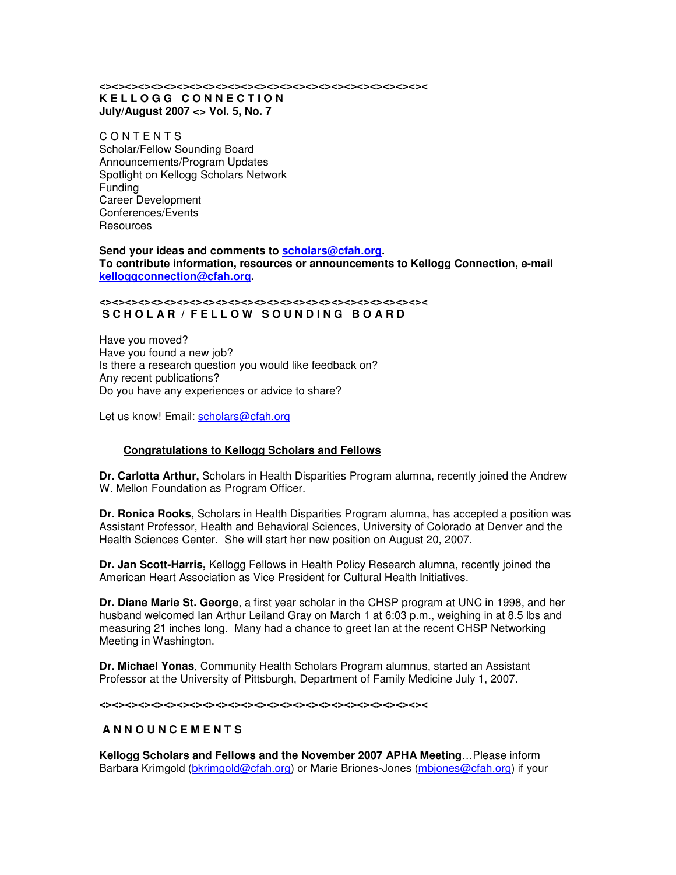#### **<><><><><><><><><><><><><><><><><><><><><><><><><>< K E L L O G G C O N N E C T I O N July/August 2007 <> Vol. 5, No. 7**

**CONTENTS** Scholar/Fellow Sounding Board Announcements/Program Updates Spotlight on Kellogg Scholars Network Funding Career Development Conferences/Events **Resources** 

#### **Send your ideas and comments to scholars@cfah.org. To contribute information, resources or announcements to Kellogg Connection, e-mail kelloggconnection@cfah.org.**

#### **<><><><><><><><><><><><><><><><><><><><><><><><><><** SCHOLAR / FELLOW SOUNDING BOARD

Have you moved? Have you found a new job? Is there a research question you would like feedback on? Any recent publications? Do you have any experiences or advice to share?

Let us know! Email: scholars@cfah.org

# **Congratulations to Kellogg Scholars and Fellows**

**Dr. Carlotta Arthur,** Scholars in Health Disparities Program alumna, recently joined the Andrew W. Mellon Foundation as Program Officer.

**Dr. Ronica Rooks,** Scholars in Health Disparities Program alumna, has accepted a position was Assistant Professor, Health and Behavioral Sciences, University of Colorado at Denver and the Health Sciences Center. She will start her new position on August 20, 2007.

**Dr. Jan Scott-Harris,** Kellogg Fellows in Health Policy Research alumna, recently joined the American Heart Association as Vice President for Cultural Health Initiatives.

**Dr. Diane Marie St. George**, a first year scholar in the CHSP program at UNC in 1998, and her husband welcomed Ian Arthur Leiland Gray on March 1 at 6:03 p.m., weighing in at 8.5 lbs and measuring 21 inches long. Many had a chance to greet Ian at the recent CHSP Networking Meeting in Washington.

**Dr. Michael Yonas**, Community Health Scholars Program alumnus, started an Assistant Professor at the University of Pittsburgh, Department of Family Medicine July 1, 2007.

**<><><><><><><><><><><><><><><><><><><><><><><><><><**

### **A N N O U N C E M E N T S**

**Kellogg Scholars and Fellows and the November 2007 APHA Meeting**…Please inform Barbara Krimgold (bkrimgold@cfah.org) or Marie Briones-Jones (mbjones@cfah.org) if your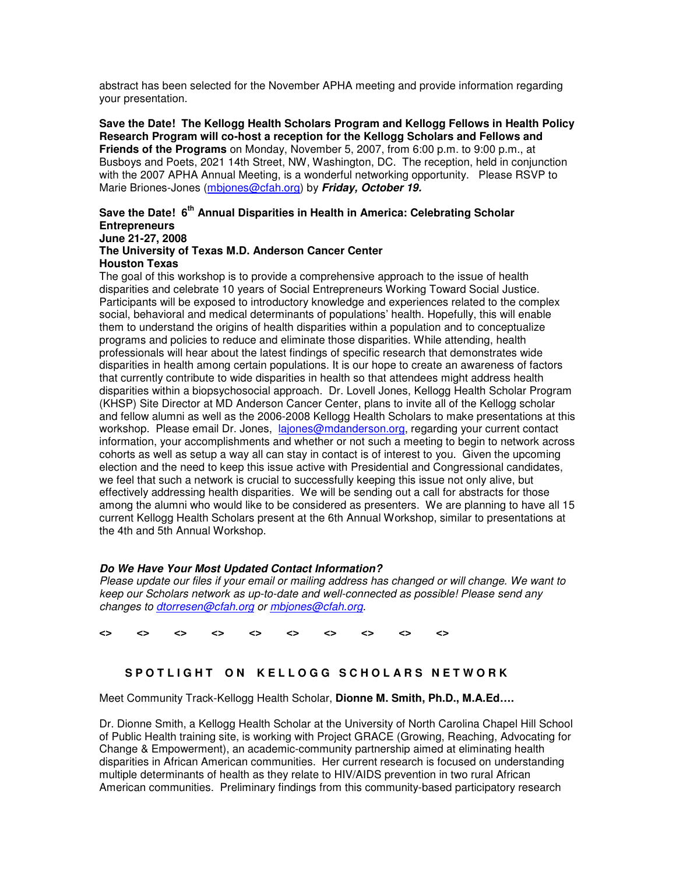abstract has been selected for the November APHA meeting and provide information regarding your presentation.

**Save the Date! The Kellogg Health Scholars Program and Kellogg Fellows in Health Policy Research Program will co-host a reception for the Kellogg Scholars and Fellows and Friends of the Programs** on Monday, November 5, 2007, from 6:00 p.m. to 9:00 p.m., at Busboys and Poets, 2021 14th Street, NW, Washington, DC. The reception, held in conjunction with the 2007 APHA Annual Meeting, is a wonderful networking opportunity. Please RSVP to Marie Briones-Jones (mbjones@cfah.org) by *Friday, October 19.*

## **Save the Date! 6 th Annual Disparities in Health in America: Celebrating Scholar Entrepreneurs June 21-27, 2008**

# **The University of Texas M.D. Anderson Cancer Center Houston Texas**

The goal of this workshop is to provide a comprehensive approach to the issue of health disparities and celebrate 10 years of Social Entrepreneurs Working Toward Social Justice. Participants will be exposed to introductory knowledge and experiences related to the complex social, behavioral and medical determinants of populations' health. Hopefully, this will enable them to understand the origins of health disparities within a population and to conceptualize programs and policies to reduce and eliminate those disparities. While attending, health professionals will hear about the latest findings of specific research that demonstrates wide disparities in health among certain populations. It is our hope to create an awareness of factors that currently contribute to wide disparities in health so that attendees might address health disparities within a biopsychosocial approach. Dr. Lovell Jones, Kellogg Health Scholar Program (KHSP) Site Director at MD Anderson Cancer Center, plans to invite all of the Kellogg scholar and fellow alumni as well as the 2006-2008 Kellogg Health Scholars to make presentations at this workshop. Please email Dr. Jones, lajones@mdanderson.org, regarding your current contact information, your accomplishments and whether or not such a meeting to begin to network across cohorts as well as setup a way all can stay in contact is of interest to you. Given the upcoming election and the need to keep this issue active with Presidential and Congressional candidates, we feel that such a network is crucial to successfully keeping this issue not only alive, but effectively addressing health disparities. We will be sending out a call for abstracts for those among the alumni who would like to be considered as presenters. We are planning to have all 15 current Kellogg Health Scholars present at the 6th Annual Workshop, similar to presentations at the 4th and 5th Annual Workshop.

# *Do We Have Your Most Updated Contact Information?*

*Please update our files if your email or mailing address has changed or will change. We want to keep our Scholars network as up-to-date and well-connected as possible! Please send any changes to dtorresen@cfah.org or mbjones@cfah.org.*

**<> <> <> <> <> <> <> <> <> <>**

# SPOTLIGHT ON KELLOGG SCHOLARS NETWORK

Meet Community Track-Kellogg Health Scholar, **Dionne M. Smith, Ph.D., M.A.Ed….**

Dr. Dionne Smith, a Kellogg Health Scholar at the University of North Carolina Chapel Hill School of Public Health training site, is working with Project GRACE (Growing, Reaching, Advocating for Change & Empowerment), an academic-community partnership aimed at eliminating health disparities in African American communities. Her current research is focused on understanding multiple determinants of health as they relate to HIV/AIDS prevention in two rural African American communities. Preliminary findings from this community-based participatory research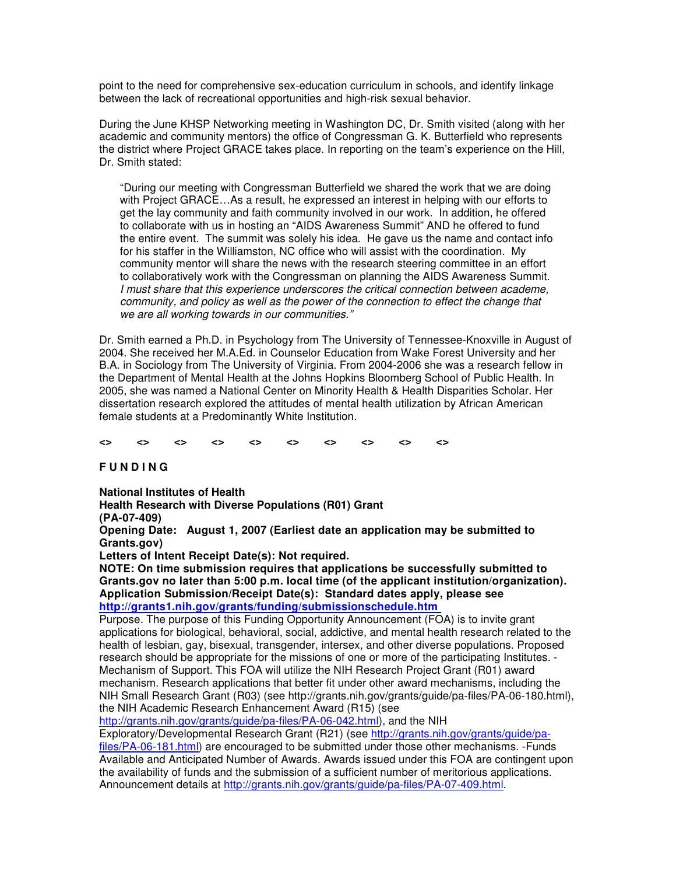point to the need for comprehensive sex-education curriculum in schools, and identify linkage between the lack of recreational opportunities and high-risk sexual behavior.

During the June KHSP Networking meeting in Washington DC, Dr. Smith visited (along with her academic and community mentors) the office of Congressman G. K. Butterfield who represents the district where Project GRACE takes place. In reporting on the team's experience on the Hill, Dr. Smith stated:

"During our meeting with Congressman Butterfield we shared the work that we are doing with Project GRACE...As a result, he expressed an interest in helping with our efforts to get the lay community and faith community involved in our work. In addition, he offered to collaborate with us in hosting an "AIDS Awareness Summit" AND he offered to fund the entire event. The summit was solely his idea. He gave us the name and contact info for his staffer in the Williamston, NC office who will assist with the coordination. My community mentor will share the news with the research steering committee in an effort to collaboratively work with the Congressman on planning the AIDS Awareness Summit. *I must share that this experience underscores the critical connection between academe, community, and policy as well as the power of the connection to effect the change that we are all working towards in our communities."*

Dr. Smith earned a Ph.D. in Psychology from The University of Tennessee-Knoxville in August of 2004. She received her M.A.Ed. in Counselor Education from Wake Forest University and her B.A. in Sociology from The University of Virginia. From 2004-2006 she was a research fellow in the Department of Mental Health at the Johns Hopkins Bloomberg School of Public Health. In 2005, she was named a National Center on Minority Health & Health Disparities Scholar. Her dissertation research explored the attitudes of mental health utilization by African American female students at a Predominantly White Institution.

**<> <> <> <> <> <> <> <> <> <>**

**F U N D I N G**

**National Institutes of Health**

**Health Research with Diverse Populations (R01) Grant**

**(PA-07-409)**

**Opening Date: August 1, 2007 (Earliest date an application may be submitted to Grants.gov)**

**Letters of Intent Receipt Date(s): Not required.**

**NOTE: On time submission requires that applications be successfully submitted to Grants.gov no later than 5:00 p.m. local time (of the applicant institution/organization). Application Submission/Receipt Date(s): Standard dates apply, please see http://grants1.nih.gov/grants/funding/submissionschedule.htm**

Purpose. The purpose of this Funding Opportunity Announcement (FOA) is to invite grant applications for biological, behavioral, social, addictive, and mental health research related to the health of lesbian, gay, bisexual, transgender, intersex, and other diverse populations. Proposed research should be appropriate for the missions of one or more of the participating Institutes. - Mechanism of Support. This FOA will utilize the NIH Research Project Grant (R01) award mechanism. Research applications that better fit under other award mechanisms, including the NIH Small Research Grant (R03) (see http://grants.nih.gov/grants/guide/pa-files/PA-06-180.html), the NIH Academic Research Enhancement Award (R15) (see

http://grants.nih.gov/grants/guide/pa-files/PA-06-042.html), and the NIH

Exploratory/Developmental Research Grant (R21) (see http://grants.nih.gov/grants/guide/pa-

files/PA-06-181.html) are encouraged to be submitted under those other mechanisms. -Funds Available and Anticipated Number of Awards. Awards issued under this FOA are contingent upon the availability of funds and the submission of a sufficient number of meritorious applications. Announcement details at http://grants.nih.gov/grants/guide/pa-files/PA-07-409.html.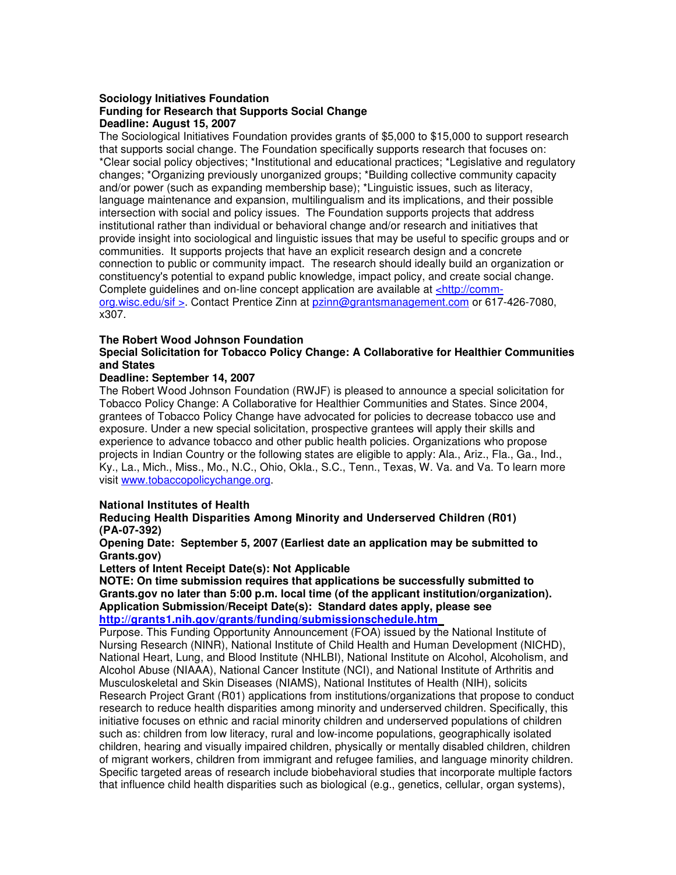### **Sociology Initiatives Foundation Funding for Research that Supports Social Change Deadline: August 15, 2007**

The Sociological Initiatives Foundation provides grants of \$5,000 to \$15,000 to support research that supports social change. The Foundation specifically supports research that focuses on: \*Clear social policy objectives; \*Institutional and educational practices; \*Legislative and regulatory changes; \*Organizing previously unorganized groups; \*Building collective community capacity and/or power (such as expanding membership base); \*Linguistic issues, such as literacy, language maintenance and expansion, multilingualism and its implications, and their possible intersection with social and policy issues. The Foundation supports projects that address institutional rather than individual or behavioral change and/or research and initiatives that provide insight into sociological and linguistic issues that may be useful to specific groups and or communities. It supports projects that have an explicit research design and a concrete connection to public or community impact. The research should ideally build an organization or constituency's potential to expand public knowledge, impact policy, and create social change. Complete guidelines and on-line concept application are available at <http://commorg.wisc.edu/sif >. Contact Prentice Zinn at pzinn@grantsmanagement.com or 617-426-7080, x307.

#### **The Robert Wood Johnson Foundation**

## **Special Solicitation for Tobacco Policy Change: A Collaborative for Healthier Communities and States**

#### **Deadline: September 14, 2007**

The Robert Wood Johnson Foundation (RWJF) is pleased to announce a special solicitation for Tobacco Policy Change: A Collaborative for Healthier Communities and States. Since 2004, grantees of Tobacco Policy Change have advocated for policies to decrease tobacco use and exposure. Under a new special solicitation, prospective grantees will apply their skills and experience to advance tobacco and other public health policies. Organizations who propose projects in Indian Country or the following states are eligible to apply: Ala., Ariz., Fla., Ga., Ind., Ky., La., Mich., Miss., Mo., N.C., Ohio, Okla., S.C., Tenn., Texas, W. Va. and Va. To learn more visit www.tobaccopolicychange.org.

### **National Institutes of Health**

#### **Reducing Health Disparities Among Minority and Underserved Children (R01) (PA-07-392)**

#### **Opening Date: September 5, 2007 (Earliest date an application may be submitted to Grants.gov)**

**Letters of Intent Receipt Date(s): Not Applicable**

**NOTE: On time submission requires that applications be successfully submitted to Grants.gov no later than 5:00 p.m. local time (of the applicant institution/organization). Application Submission/Receipt Date(s): Standard dates apply, please see http://grants1.nih.gov/grants/funding/submissionschedule.htm**

Purpose. This Funding Opportunity Announcement (FOA) issued by the National Institute of Nursing Research (NINR), National Institute of Child Health and Human Development (NICHD), National Heart, Lung, and Blood Institute (NHLBI), National Institute on Alcohol, Alcoholism, and Alcohol Abuse (NIAAA), National Cancer Institute (NCI), and National Institute of Arthritis and Musculoskeletal and Skin Diseases (NIAMS), National Institutes of Health (NIH), solicits Research Project Grant (R01) applications from institutions/organizations that propose to conduct research to reduce health disparities among minority and underserved children. Specifically, this initiative focuses on ethnic and racial minority children and underserved populations of children such as: children from low literacy, rural and low-income populations, geographically isolated children, hearing and visually impaired children, physically or mentally disabled children, children of migrant workers, children from immigrant and refugee families, and language minority children. Specific targeted areas of research include biobehavioral studies that incorporate multiple factors that influence child health disparities such as biological (e.g., genetics, cellular, organ systems),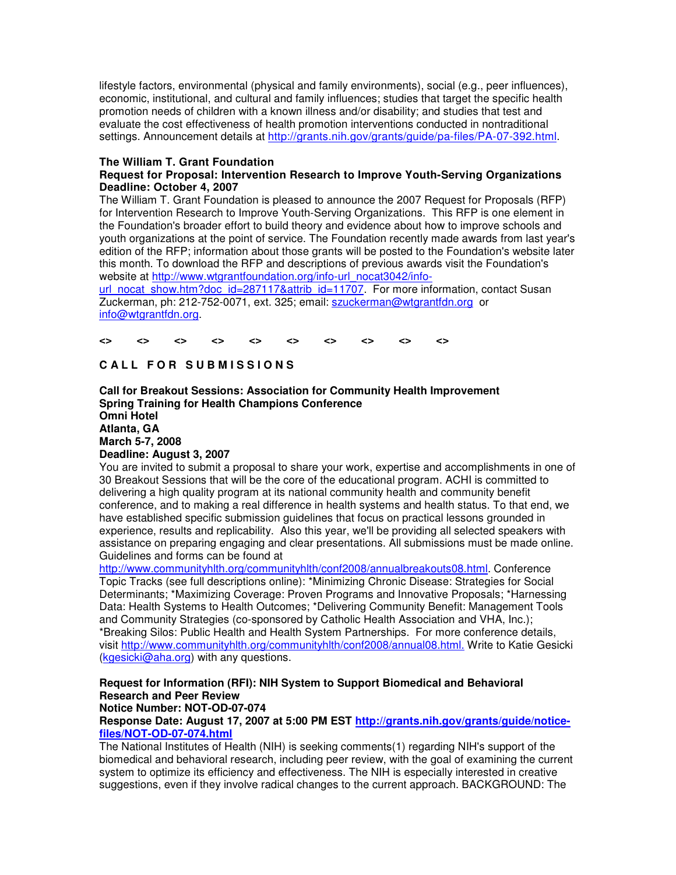lifestyle factors, environmental (physical and family environments), social (e.g., peer influences), economic, institutional, and cultural and family influences; studies that target the specific health promotion needs of children with a known illness and/or disability; and studies that test and evaluate the cost effectiveness of health promotion interventions conducted in nontraditional settings. Announcement details at http://grants.nih.gov/grants/guide/pa-files/PA-07-392.html.

### **The William T. Grant Foundation**

## **Request for Proposal: Intervention Research to Improve Youth-Serving Organizations Deadline: October 4, 2007**

The William T. Grant Foundation is pleased to announce the 2007 Request for Proposals (RFP) for Intervention Research to Improve Youth-Serving Organizations. This RFP is one element in the Foundation's broader effort to build theory and evidence about how to improve schools and youth organizations at the point of service. The Foundation recently made awards from last year's edition of the RFP; information about those grants will be posted to the Foundation's website later this month. To download the RFP and descriptions of previous awards visit the Foundation's website at http://www.wtgrantfoundation.org/info-url\_nocat3042/info-

url\_nocat\_show.htm?doc\_id=287117&attrib\_id=11707. For more information, contact Susan Zuckerman, ph: 212-752-0071, ext. 325; email: szuckerman@wtgrantfdn.org or info@wtgrantfdn.org.

**<> <> <> <> <> <> <> <> <> <>**

# **C A L L F O R S U B M I S S I O N S**

**Call for Breakout Sessions: Association for Community Health Improvement Spring Training for Health Champions Conference Omni Hotel Atlanta, GA March 5-7, 2008 Deadline: August 3, 2007**

#### You are invited to submit a proposal to share your work, expertise and accomplishments in one of 30 Breakout Sessions that will be the core of the educational program. ACHI is committed to delivering a high quality program at its national community health and community benefit conference, and to making a real difference in health systems and health status. To that end, we have established specific submission guidelines that focus on practical lessons grounded in experience, results and replicability. Also this year, we'll be providing all selected speakers with assistance on preparing engaging and clear presentations. All submissions must be made online. Guidelines and forms can be found at

http://www.communityhlth.org/communityhlth/conf2008/annualbreakouts08.html. Conference Topic Tracks (see full descriptions online): \*Minimizing Chronic Disease: Strategies for Social Determinants; \*Maximizing Coverage: Proven Programs and Innovative Proposals; \*Harnessing Data: Health Systems to Health Outcomes; \*Delivering Community Benefit: Management Tools and Community Strategies (co-sponsored by Catholic Health Association and VHA, Inc.); \*Breaking Silos: Public Health and Health System Partnerships. For more conference details, visit http://www.communityhlth.org/communityhlth/conf2008/annual08.html. Write to Katie Gesicki (kgesicki@aha.org) with any questions.

# **Request for Information (RFI): NIH System to Support Biomedical and Behavioral Research and Peer Review**

# **Notice Number: NOT-OD-07-074**

**Response Date: August 17, 2007 at 5:00 PM EST http://grants.nih.gov/grants/guide/noticefiles/NOT-OD-07-074.html**

The National Institutes of Health (NIH) is seeking comments(1) regarding NIH's support of the biomedical and behavioral research, including peer review, with the goal of examining the current system to optimize its efficiency and effectiveness. The NIH is especially interested in creative suggestions, even if they involve radical changes to the current approach. BACKGROUND: The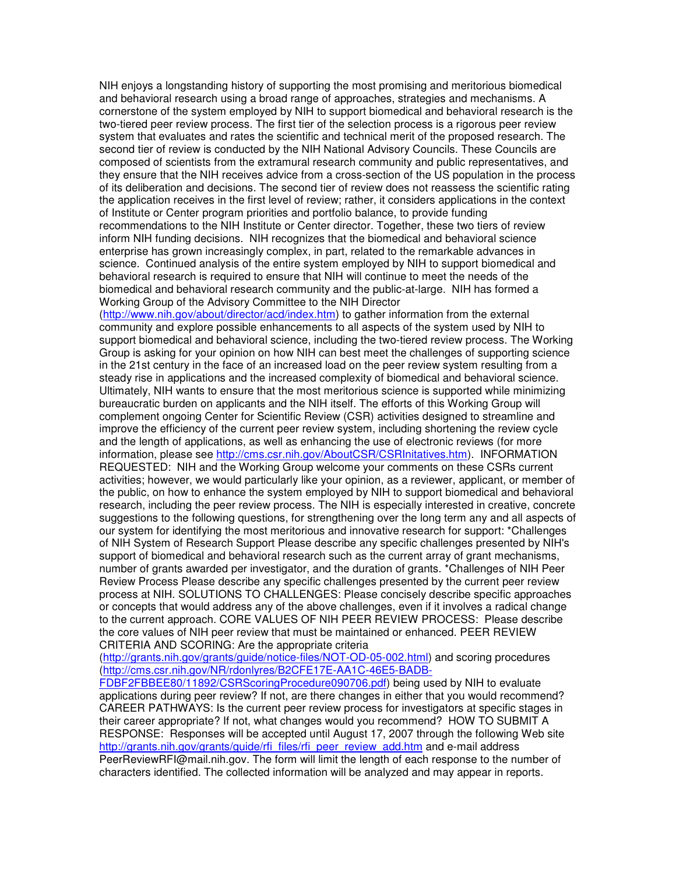NIH enjoys a longstanding history of supporting the most promising and meritorious biomedical and behavioral research using a broad range of approaches, strategies and mechanisms. A cornerstone of the system employed by NIH to support biomedical and behavioral research is the two-tiered peer review process. The first tier of the selection process is a rigorous peer review system that evaluates and rates the scientific and technical merit of the proposed research. The second tier of review is conducted by the NIH National Advisory Councils. These Councils are composed of scientists from the extramural research community and public representatives, and they ensure that the NIH receives advice from a cross-section of the US population in the process of its deliberation and decisions. The second tier of review does not reassess the scientific rating the application receives in the first level of review; rather, it considers applications in the context of Institute or Center program priorities and portfolio balance, to provide funding recommendations to the NIH Institute or Center director. Together, these two tiers of review inform NIH funding decisions. NIH recognizes that the biomedical and behavioral science enterprise has grown increasingly complex, in part, related to the remarkable advances in science. Continued analysis of the entire system employed by NIH to support biomedical and behavioral research is required to ensure that NIH will continue to meet the needs of the biomedical and behavioral research community and the public-at-large. NIH has formed a Working Group of the Advisory Committee to the NIH Director

(http://www.nih.gov/about/director/acd/index.htm) to gather information from the external community and explore possible enhancements to all aspects of the system used by NIH to support biomedical and behavioral science, including the two-tiered review process. The Working Group is asking for your opinion on how NIH can best meet the challenges of supporting science in the 21st century in the face of an increased load on the peer review system resulting from a steady rise in applications and the increased complexity of biomedical and behavioral science. Ultimately, NIH wants to ensure that the most meritorious science is supported while minimizing bureaucratic burden on applicants and the NIH itself. The efforts of this Working Group will complement ongoing Center for Scientific Review (CSR) activities designed to streamline and improve the efficiency of the current peer review system, including shortening the review cycle and the length of applications, as well as enhancing the use of electronic reviews (for more information, please see http://cms.csr.nih.gov/AboutCSR/CSRInitatives.htm). INFORMATION REQUESTED: NIH and the Working Group welcome your comments on these CSRs current activities; however, we would particularly like your opinion, as a reviewer, applicant, or member of the public, on how to enhance the system employed by NIH to support biomedical and behavioral research, including the peer review process. The NIH is especially interested in creative, concrete suggestions to the following questions, for strengthening over the long term any and all aspects of our system for identifying the most meritorious and innovative research for support: \*Challenges of NIH System of Research Support Please describe any specific challenges presented by NIH's support of biomedical and behavioral research such as the current array of grant mechanisms, number of grants awarded per investigator, and the duration of grants. \*Challenges of NIH Peer Review Process Please describe any specific challenges presented by the current peer review process at NIH. SOLUTIONS TO CHALLENGES: Please concisely describe specific approaches or concepts that would address any of the above challenges, even if it involves a radical change to the current approach. CORE VALUES OF NIH PEER REVIEW PROCESS: Please describe the core values of NIH peer review that must be maintained or enhanced. PEER REVIEW CRITERIA AND SCORING: Are the appropriate criteria

(http://grants.nih.gov/grants/guide/notice-files/NOT-OD-05-002.html) and scoring procedures (http://cms.csr.nih.gov/NR/rdonlyres/B2CFE17E-AA1C-46E5-BADB-

FDBF2FBBEE80/11892/CSRScoringProcedure090706.pdf) being used by NIH to evaluate applications during peer review? If not, are there changes in either that you would recommend? CAREER PATHWAYS: Is the current peer review process for investigators at specific stages in their career appropriate? If not, what changes would you recommend? HOW TO SUBMIT A RESPONSE: Responses will be accepted until August 17, 2007 through the following Web site http://grants.nih.gov/grants/guide/rfi\_files/rfi\_peer\_review\_add.htm and e-mail address PeerReviewRFI@mail.nih.gov. The form will limit the length of each response to the number of characters identified. The collected information will be analyzed and may appear in reports.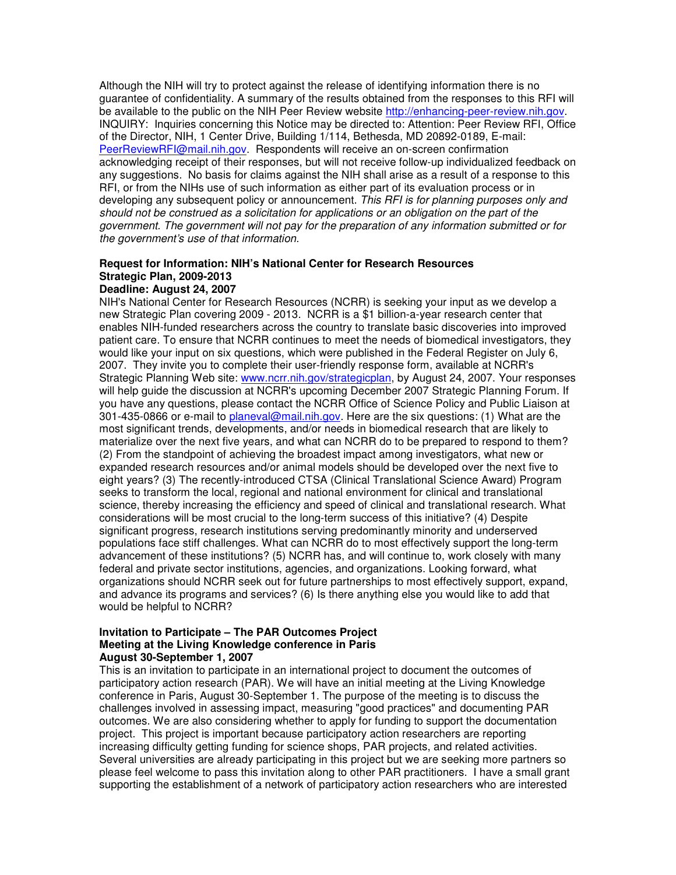Although the NIH will try to protect against the release of identifying information there is no guarantee of confidentiality. A summary of the results obtained from the responses to this RFI will be available to the public on the NIH Peer Review website http://enhancing-peer-review.nih.gov. INQUIRY: Inquiries concerning this Notice may be directed to: Attention: Peer Review RFI, Office of the Director, NIH, 1 Center Drive, Building 1/114, Bethesda, MD 20892-0189, E-mail: PeerReviewRFI@mail.nih.gov. Respondents will receive an on-screen confirmation acknowledging receipt of their responses, but will not receive follow-up individualized feedback on any suggestions. No basis for claims against the NIH shall arise as a result of a response to this RFI, or from the NIHs use of such information as either part of its evaluation process or in developing any subsequent policy or announcement. *This RFI is for planning purposes only and should not be construed as a solicitation for applications or an obligation on the part of the government. The government will not pay for the preparation of any information submitted or for the government's use of that information.*

#### **Request for Information: NIH's National Center for Research Resources Strategic Plan, 2009-2013 Deadline: August 24, 2007**

#### NIH's National Center for Research Resources (NCRR) is seeking your input as we develop a new Strategic Plan covering 2009 - 2013. NCRR is a \$1 billion-a-year research center that enables NIH-funded researchers across the country to translate basic discoveries into improved patient care. To ensure that NCRR continues to meet the needs of biomedical investigators, they would like your input on six questions, which were published in the Federal Register on July 6, 2007. They invite you to complete their user-friendly response form, available at NCRR's Strategic Planning Web site: www.ncrr.nih.gov/strategicplan, by August 24, 2007. Your responses will help guide the discussion at NCRR's upcoming December 2007 Strategic Planning Forum. If you have any questions, please contact the NCRR Office of Science Policy and Public Liaison at 301-435-0866 or e-mail to planeval@mail.nih.gov. Here are the six questions: (1) What are the most significant trends, developments, and/or needs in biomedical research that are likely to materialize over the next five years, and what can NCRR do to be prepared to respond to them? (2) From the standpoint of achieving the broadest impact among investigators, what new or expanded research resources and/or animal models should be developed over the next five to eight years? (3) The recently-introduced CTSA (Clinical Translational Science Award) Program seeks to transform the local, regional and national environment for clinical and translational science, thereby increasing the efficiency and speed of clinical and translational research. What considerations will be most crucial to the long-term success of this initiative? (4) Despite significant progress, research institutions serving predominantly minority and underserved populations face stiff challenges. What can NCRR do to most effectively support the long-term advancement of these institutions? (5) NCRR has, and will continue to, work closely with many federal and private sector institutions, agencies, and organizations. Looking forward, what organizations should NCRR seek out for future partnerships to most effectively support, expand, and advance its programs and services? (6) Is there anything else you would like to add that would be helpful to NCRR?

### **Invitation to Participate – The PAR Outcomes Project Meeting at the Living Knowledge conference in Paris August 30-September 1, 2007**

This is an invitation to participate in an international project to document the outcomes of participatory action research (PAR). We will have an initial meeting at the Living Knowledge conference in Paris, August 30-September 1. The purpose of the meeting is to discuss the challenges involved in assessing impact, measuring "good practices" and documenting PAR outcomes. We are also considering whether to apply for funding to support the documentation project. This project is important because participatory action researchers are reporting increasing difficulty getting funding for science shops, PAR projects, and related activities. Several universities are already participating in this project but we are seeking more partners so please feel welcome to pass this invitation along to other PAR practitioners. I have a small grant supporting the establishment of a network of participatory action researchers who are interested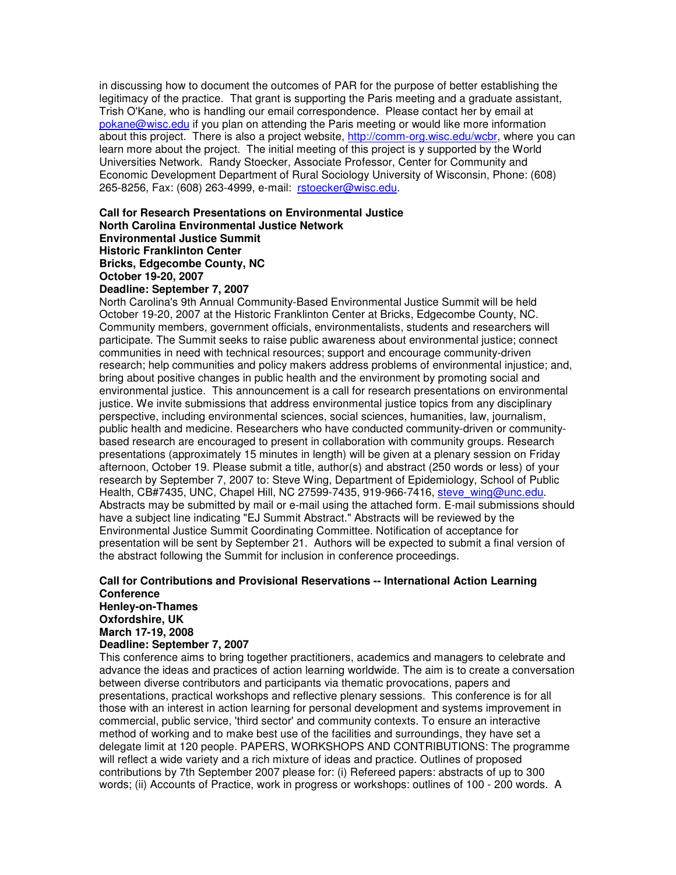in discussing how to document the outcomes of PAR for the purpose of better establishing the legitimacy of the practice. That grant is supporting the Paris meeting and a graduate assistant, Trish O'Kane, who is handling our email correspondence. Please contact her by email at pokane@wisc.edu if you plan on attending the Paris meeting or would like more information about this project. There is also a project website, http://comm-org.wisc.edu/wcbr, where you can learn more about the project. The initial meeting of this project is y supported by the World Universities Network. Randy Stoecker, Associate Professor, Center for Community and Economic Development Department of Rural Sociology University of Wisconsin, Phone: (608) 265-8256, Fax: (608) 263-4999, e-mail: rstoecker@wisc.edu.

**Call for Research Presentations on Environmental Justice North Carolina Environmental Justice Network Environmental Justice Summit Historic Franklinton Center Bricks, Edgecombe County, NC October 19-20, 2007 Deadline: September 7, 2007**

North Carolina's 9th Annual Community-Based Environmental Justice Summit will be held October 19-20, 2007 at the Historic Franklinton Center at Bricks, Edgecombe County, NC. Community members, government officials, environmentalists, students and researchers will participate. The Summit seeks to raise public awareness about environmental justice; connect communities in need with technical resources; support and encourage community-driven research; help communities and policy makers address problems of environmental injustice; and, bring about positive changes in public health and the environment by promoting social and environmental justice. This announcement is a call for research presentations on environmental justice. We invite submissions that address environmental justice topics from any disciplinary perspective, including environmental sciences, social sciences, humanities, law, journalism, public health and medicine. Researchers who have conducted community-driven or communitybased research are encouraged to present in collaboration with community groups. Research presentations (approximately 15 minutes in length) will be given at a plenary session on Friday afternoon, October 19. Please submit a title, author(s) and abstract (250 words or less) of your research by September 7, 2007 to: Steve Wing, Department of Epidemiology, School of Public Health, CB#7435, UNC, Chapel Hill, NC 27599-7435, 919-966-7416, steve\_wing@unc.edu. Abstracts may be submitted by mail or e-mail using the attached form. E-mail submissions should have a subject line indicating "EJ Summit Abstract." Abstracts will be reviewed by the Environmental Justice Summit Coordinating Committee. Notification of acceptance for presentation will be sent by September 21. Authors will be expected to submit a final version of the abstract following the Summit for inclusion in conference proceedings.

## **Call for Contributions and Provisional Reservations -- International Action Learning Conference Henley-on-Thames**

**Oxfordshire, UK March 17-19, 2008 Deadline: September 7, 2007**

This conference aims to bring together practitioners, academics and managers to celebrate and advance the ideas and practices of action learning worldwide. The aim is to create a conversation between diverse contributors and participants via thematic provocations, papers and presentations, practical workshops and reflective plenary sessions. This conference is for all those with an interest in action learning for personal development and systems improvement in commercial, public service, 'third sector'and community contexts. To ensure an interactive method of working and to make best use of the facilities and surroundings, they have set a delegate limit at 120 people. PAPERS, WORKSHOPS AND CONTRIBUTIONS: The programme will reflect a wide variety and a rich mixture of ideas and practice. Outlines of proposed contributions by 7th September 2007 please for: (i) Refereed papers: abstracts of up to 300 words; (ii) Accounts of Practice, work in progress or workshops: outlines of 100 - 200 words. A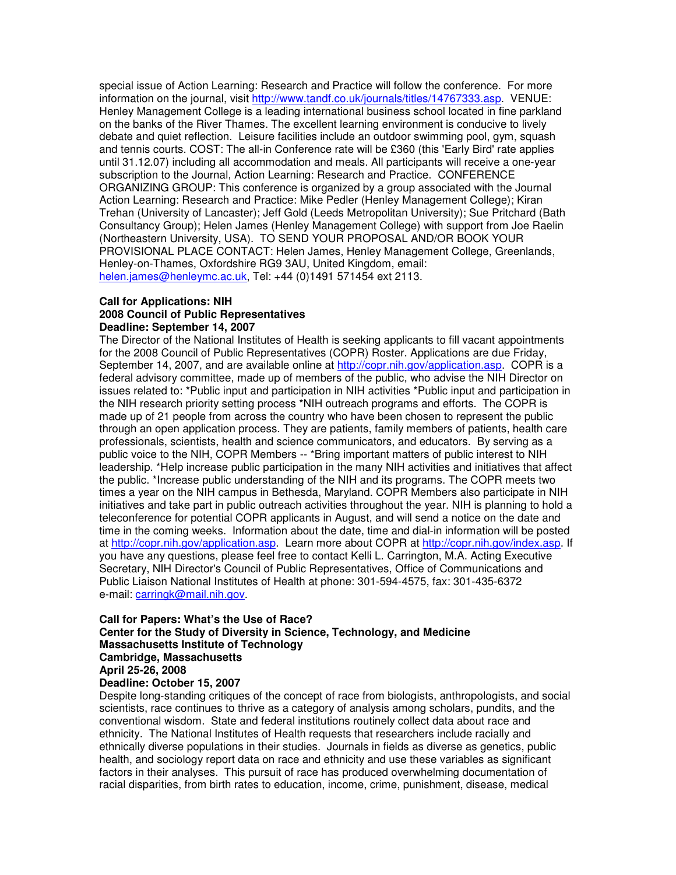special issue of Action Learning: Research and Practice will follow the conference. For more information on the journal, visit http://www.tandf.co.uk/journals/titles/14767333.asp. VENUE: Henley Management College is a leading international business school located in fine parkland on the banks of the River Thames. The excellent learning environment is conducive to lively debate and quiet reflection. Leisure facilities include an outdoor swimming pool, gym, squash and tennis courts. COST: The all-in Conference rate will be £360 (this 'Early Bird'rate applies until 31.12.07) including all accommodation and meals. All participants will receive a one-year subscription to the Journal, Action Learning: Research and Practice. CONFERENCE ORGANIZING GROUP: This conference is organized by a group associated with the Journal Action Learning: Research and Practice: Mike Pedler (Henley Management College); Kiran Trehan (University of Lancaster); Jeff Gold (Leeds Metropolitan University); Sue Pritchard (Bath Consultancy Group); Helen James (Henley Management College) with support from Joe Raelin (Northeastern University, USA). TO SEND YOUR PROPOSAL AND/OR BOOK YOUR PROVISIONAL PLACE CONTACT: Helen James, Henley Management College, Greenlands, Henley-on-Thames, Oxfordshire RG9 3AU, United Kingdom, email: helen.james@henleymc.ac.uk, Tel: +44 (0)1491 571454 ext 2113.

#### **Call for Applications: NIH 2008 Council of Public Representatives Deadline: September 14, 2007**

The Director of the National Institutes of Health is seeking applicants to fill vacant appointments for the 2008 Council of Public Representatives (COPR) Roster. Applications are due Friday, September 14, 2007, and are available online at http://copr.nih.gov/application.asp. COPR is a federal advisory committee, made up of members of the public, who advise the NIH Director on issues related to: \*Public input and participation in NIH activities \*Public input and participation in the NIH research priority setting process \*NIH outreach programs and efforts. The COPR is made up of 21 people from across the country who have been chosen to represent the public through an open application process. They are patients, family members of patients, health care professionals, scientists, health and science communicators, and educators. By serving as a public voice to the NIH, COPR Members -- \*Bring important matters of public interest to NIH leadership. \*Help increase public participation in the many NIH activities and initiatives that affect the public. \*Increase public understanding of the NIH and its programs. The COPR meets two times a year on the NIH campus in Bethesda, Maryland. COPR Members also participate in NIH initiatives and take part in public outreach activities throughout the year. NIH is planning to hold a teleconference for potential COPR applicants in August, and will send a notice on the date and time in the coming weeks. Information about the date, time and dial-in information will be posted at http://copr.nih.gov/application.asp. Learn more about COPR at http://copr.nih.gov/index.asp. If you have any questions, please feel free to contact Kelli L. Carrington, M.A. Acting Executive Secretary, NIH Director's Council of Public Representatives, Office of Communications and Public Liaison National Institutes of Health at phone: 301-594-4575, fax: 301-435-6372 e-mail: carringk@mail.nih.gov.

## **Call for Papers: What's the Use of Race? Center for the Study of Diversity in Science, Technology, and Medicine Massachusetts Institute of Technology Cambridge, Massachusetts April 25-26, 2008**

### **Deadline: October 15, 2007**

Despite long-standing critiques of the concept of race from biologists, anthropologists, and social scientists, race continues to thrive as a category of analysis among scholars, pundits, and the conventional wisdom. State and federal institutions routinely collect data about race and ethnicity. The National Institutes of Health requests that researchers include racially and ethnically diverse populations in their studies. Journals in fields as diverse as genetics, public health, and sociology report data on race and ethnicity and use these variables as significant factors in their analyses. This pursuit of race has produced overwhelming documentation of racial disparities, from birth rates to education, income, crime, punishment, disease, medical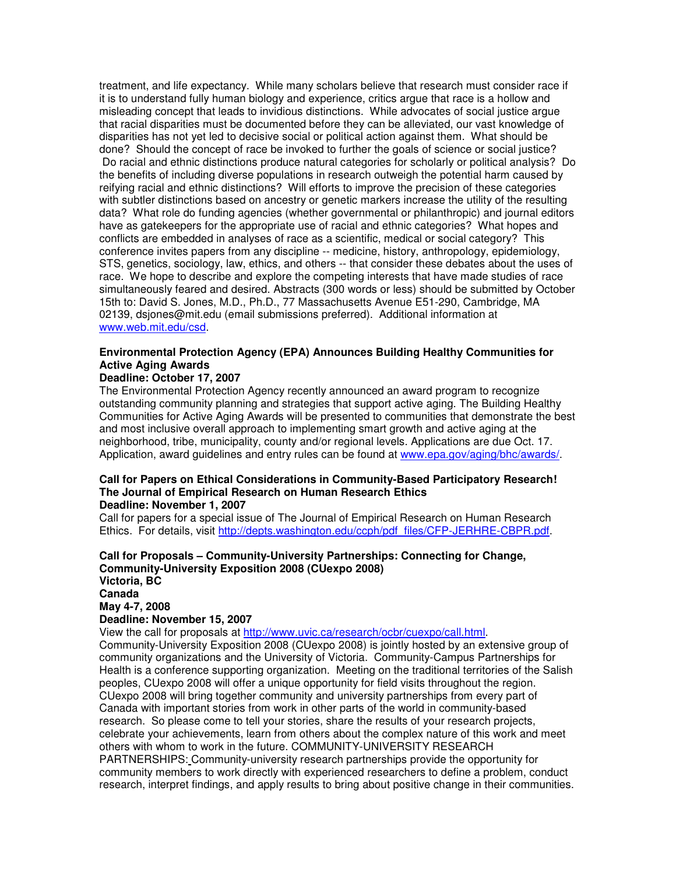treatment, and life expectancy. While many scholars believe that research must consider race if it is to understand fully human biology and experience, critics argue that race is a hollow and misleading concept that leads to invidious distinctions. While advocates of social justice argue that racial disparities must be documented before they can be alleviated, our vast knowledge of disparities has not yet led to decisive social or political action against them. What should be done? Should the concept of race be invoked to further the goals of science or social justice? Do racial and ethnic distinctions produce natural categories for scholarly or political analysis? Do the benefits of including diverse populations in research outweigh the potential harm caused by reifying racial and ethnic distinctions? Will efforts to improve the precision of these categories with subtler distinctions based on ancestry or genetic markers increase the utility of the resulting data? What role do funding agencies (whether governmental or philanthropic) and journal editors have as gatekeepers for the appropriate use of racial and ethnic categories? What hopes and conflicts are embedded in analyses of race as a scientific, medical or social category? This conference invites papers from any discipline -- medicine, history, anthropology, epidemiology, STS, genetics, sociology, law, ethics, and others -- that consider these debates about the uses of race. We hope to describe and explore the competing interests that have made studies of race simultaneously feared and desired. Abstracts (300 words or less) should be submitted by October 15th to: David S. Jones, M.D., Ph.D., 77 Massachusetts Avenue E51-290, Cambridge, MA 02139, dsjones@mit.edu (email submissions preferred). Additional information at www.web.mit.edu/csd.

## **Environmental Protection Agency (EPA) Announces Building Healthy Communities for Active Aging Awards**

## **Deadline: October 17, 2007**

The Environmental Protection Agency recently announced an award program to recognize outstanding community planning and strategies that support active aging. The Building Healthy Communities for Active Aging Awards will be presented to communities that demonstrate the best and most inclusive overall approach to implementing smart growth and active aging at the neighborhood, tribe, municipality, county and/or regional levels. Applications are due Oct. 17. Application, award guidelines and entry rules can be found at www.epa.gov/aging/bhc/awards/.

#### **Call for Papers on Ethical Considerations in Community-Based Participatory Research! The Journal of Empirical Research on Human Research Ethics Deadline: November 1, 2007**

Call for papers for a special issue of The Journal of Empirical Research on Human Research Ethics. For details, visit http://depts.washington.edu/ccph/pdf\_files/CFP-JERHRE-CBPR.pdf.

# **Call for Proposals – Community-University Partnerships: Connecting for Change, Community-University Exposition 2008 (CUexpo 2008) Victoria, BC Canada May 4-7, 2008**

# **Deadline: November 15, 2007**

View the call for proposals at http://www.uvic.ca/research/ocbr/cuexpo/call.html.

Community-University Exposition 2008 (CUexpo 2008) is jointly hosted by an extensive group of community organizations and the University of Victoria. Community-Campus Partnerships for Health is a conference supporting organization. Meeting on the traditional territories of the Salish peoples, CUexpo 2008 will offer a unique opportunity for field visits throughout the region. CUexpo 2008 will bring together community and university partnerships from every part of Canada with important stories from work in other parts of the world in community-based research. So please come to tell your stories, share the results of your research projects, celebrate your achievements, learn from others about the complex nature of this work and meet others with whom to work in the future. COMMUNITY-UNIVERSITY RESEARCH PARTNERSHIPS: Community-university research partnerships provide the opportunity for community members to work directly with experienced researchers to define a problem, conduct research, interpret findings, and apply results to bring about positive change in their communities.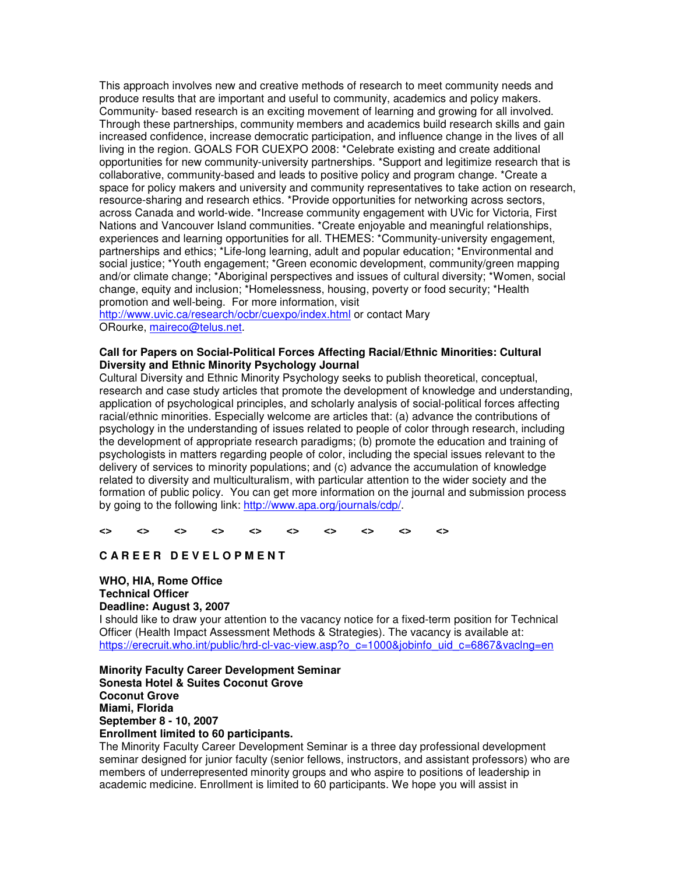This approach involves new and creative methods of research to meet community needs and produce results that are important and useful to community, academics and policy makers. Community- based research is an exciting movement of learning and growing for all involved. Through these partnerships, community members and academics build research skills and gain increased confidence, increase democratic participation, and influence change in the lives of all living in the region. GOALS FOR CUEXPO 2008: \*Celebrate existing and create additional opportunities for new community-university partnerships. \*Support and legitimize research that is collaborative, community-based and leads to positive policy and program change. \*Create a space for policy makers and university and community representatives to take action on research, resource-sharing and research ethics. \*Provide opportunities for networking across sectors, across Canada and world-wide. \*Increase community engagement with UVic for Victoria, First Nations and Vancouver Island communities. \*Create enjoyable and meaningful relationships, experiences and learning opportunities for all. THEMES: \*Community-university engagement, partnerships and ethics; \*Life-long learning, adult and popular education; \*Environmental and social justice; \*Youth engagement; \*Green economic development, community/green mapping and/or climate change; \*Aboriginal perspectives and issues of cultural diversity; \*Women, social change, equity and inclusion; \*Homelessness, housing, poverty or food security; \*Health promotion and well-being. For more information, visit

http://www.uvic.ca/research/ocbr/cuexpo/index.html or contact Mary ORourke, maireco@telus.net.

## **Call for Papers on Social-Political Forces Affecting Racial/Ethnic Minorities: Cultural Diversity and Ethnic Minority Psychology Journal**

Cultural Diversity and Ethnic Minority Psychology seeks to publish theoretical, conceptual, research and case study articles that promote the development of knowledge and understanding, application of psychological principles, and scholarly analysis of social-political forces affecting racial/ethnic minorities. Especially welcome are articles that: (a) advance the contributions of psychology in the understanding of issues related to people of color through research, including the development of appropriate research paradigms; (b) promote the education and training of psychologists in matters regarding people of color, including the special issues relevant to the delivery of services to minority populations; and (c) advance the accumulation of knowledge related to diversity and multiculturalism, with particular attention to the wider society and the formation of public policy. You can get more information on the journal and submission process by going to the following link: http://www.apa.org/journals/cdp/.

**<> <> <> <> <> <> <> <> <> <>**

## **C A R E E R D E V E L O P M E N T**

# **WHO, HIA, Rome Office Technical Officer Deadline: August 3, 2007**

I should like to draw your attention to the vacancy notice for a fixed-term position for Technical Officer (Health Impact Assessment Methods & Strategies). The vacancy is available at: https://erecruit.who.int/public/hrd-cl-vac-view.asp?o\_c=1000&jobinfo\_uid\_c=6867&vaclng=en

**Minority Faculty Career Development Seminar Sonesta Hotel & Suites Coconut Grove Coconut Grove Miami, Florida September 8 - 10, 2007 Enrollment limited to 60 participants.**

The Minority Faculty Career Development Seminar is a three day professional development seminar designed for junior faculty (senior fellows, instructors, and assistant professors) who are members of underrepresented minority groups and who aspire to positions of leadership in academic medicine. Enrollment is limited to 60 participants. We hope you will assist in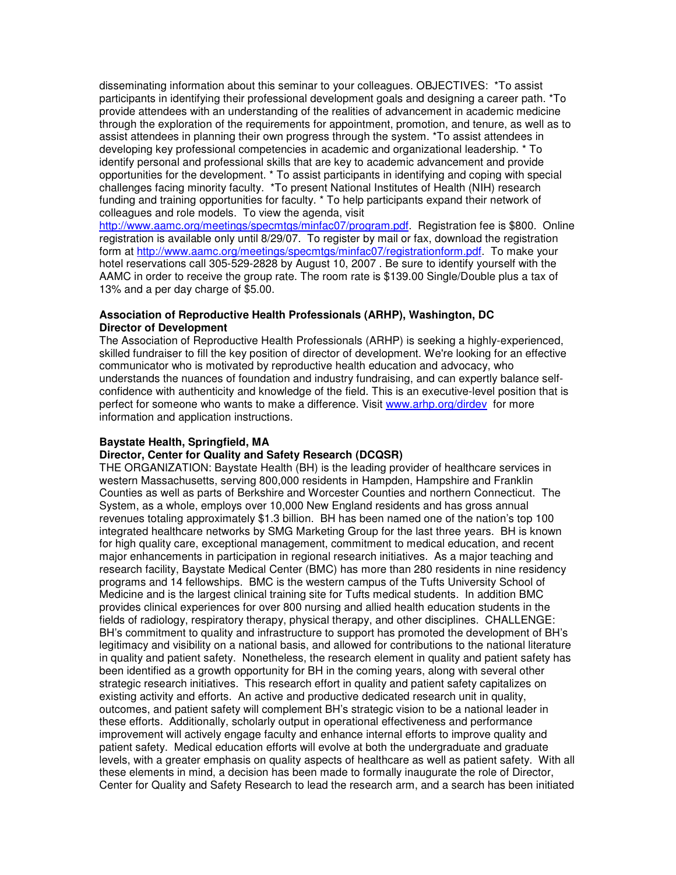disseminating information about this seminar to your colleagues. OBJECTIVES: \*To assist participants in identifying their professional development goals and designing a career path. \*To provide attendees with an understanding of the realities of advancement in academic medicine through the exploration of the requirements for appointment, promotion, and tenure, as well as to assist attendees in planning their own progress through the system. \*To assist attendees in developing key professional competencies in academic and organizational leadership. \* To identify personal and professional skills that are key to academic advancement and provide opportunities for the development. \* To assist participants in identifying and coping with special challenges facing minority faculty. \*To present National Institutes of Health (NIH) research funding and training opportunities for faculty. \* To help participants expand their network of colleagues and role models. To view the agenda, visit

http://www.aamc.org/meetings/specmtgs/minfac07/program.pdf. Registration fee is \$800. Online registration is available only until 8/29/07. To register by mail or fax, download the registration form at http://www.aamc.org/meetings/specmtgs/minfac07/registrationform.pdf. To make your hotel reservations call 305-529-2828 by August 10, 2007 . Be sure to identify yourself with the AAMC in order to receive the group rate. The room rate is \$139.00 Single/Double plus a tax of 13% and a per day charge of \$5.00.

#### **Association of Reproductive Health Professionals (ARHP), Washington, DC Director of Development**

The Association of Reproductive Health Professionals (ARHP) is seeking a highly-experienced, skilled fundraiser to fill the key position of director of development. We're looking for an effective communicator who is motivated by reproductive health education and advocacy, who understands the nuances of foundation and industry fundraising, and can expertly balance selfconfidence with authenticity and knowledge of the field. This is an executive-level position that is perfect for someone who wants to make a difference. Visit www.arhp.org/dirdev for more information and application instructions.

## **Baystate Health, Springfield, MA**

### **Director, Center for Quality and Safety Research (DCQSR)**

THE ORGANIZATION: Baystate Health (BH) is the leading provider of healthcare services in western Massachusetts, serving 800,000 residents in Hampden, Hampshire and Franklin Counties as well as parts of Berkshire and Worcester Counties and northern Connecticut. The System, as a whole, employs over 10,000 New England residents and has gross annual revenues totaling approximately \$1.3 billion. BH has been named one of the nation's top 100 integrated healthcare networks by SMG Marketing Group for the last three years. BH is known for high quality care, exceptional management, commitment to medical education, and recent major enhancements in participation in regional research initiatives. As a major teaching and research facility, Baystate Medical Center (BMC) has more than 280 residents in nine residency programs and 14 fellowships. BMC is the western campus of the Tufts University School of Medicine and is the largest clinical training site for Tufts medical students. In addition BMC provides clinical experiences for over 800 nursing and allied health education students in the fields of radiology, respiratory therapy, physical therapy, and other disciplines. CHALLENGE: BH's commitment to quality and infrastructure to support has promoted the development of BH's legitimacy and visibility on a national basis, and allowed for contributions to the national literature in quality and patient safety. Nonetheless, the research element in quality and patient safety has been identified as a growth opportunity for BH in the coming years, along with several other strategic research initiatives. This research effort in quality and patient safety capitalizes on existing activity and efforts. An active and productive dedicated research unit in quality, outcomes, and patient safety will complement BH's strategic vision to be a national leader in these efforts. Additionally, scholarly output in operational effectiveness and performance improvement will actively engage faculty and enhance internal efforts to improve quality and patient safety. Medical education efforts will evolve at both the undergraduate and graduate levels, with a greater emphasis on quality aspects of healthcare as well as patient safety. With all these elements in mind, a decision has been made to formally inaugurate the role of Director, Center for Quality and Safety Research to lead the research arm, and a search has been initiated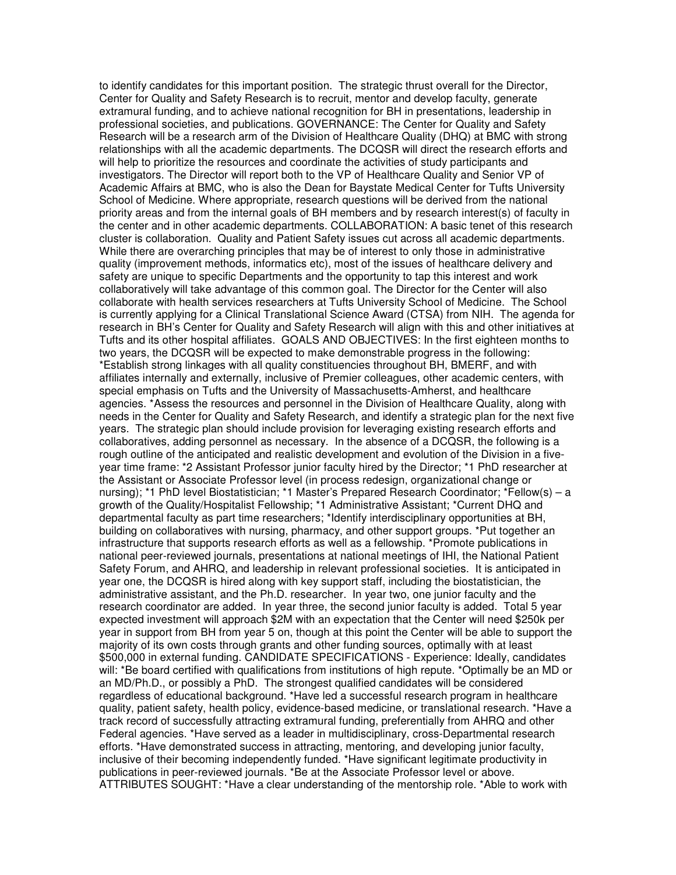to identify candidates for this important position. The strategic thrust overall for the Director, Center for Quality and Safety Research is to recruit, mentor and develop faculty, generate extramural funding, and to achieve national recognition for BH in presentations, leadership in professional societies, and publications. GOVERNANCE: The Center for Quality and Safety Research will be a research arm of the Division of Healthcare Quality (DHQ) at BMC with strong relationships with all the academic departments. The DCQSR will direct the research efforts and will help to prioritize the resources and coordinate the activities of study participants and investigators. The Director will report both to the VP of Healthcare Quality and Senior VP of Academic Affairs at BMC, who is also the Dean for Baystate Medical Center for Tufts University School of Medicine. Where appropriate, research questions will be derived from the national priority areas and from the internal goals of BH members and by research interest(s) of faculty in the center and in other academic departments. COLLABORATION: A basic tenet of this research cluster is collaboration. Quality and Patient Safety issues cut across all academic departments. While there are overarching principles that may be of interest to only those in administrative quality (improvement methods, informatics etc), most of the issues of healthcare delivery and safety are unique to specific Departments and the opportunity to tap this interest and work collaboratively will take advantage of this common goal. The Director for the Center will also collaborate with health services researchers at Tufts University School of Medicine. The School is currently applying for a Clinical Translational Science Award (CTSA) from NIH. The agenda for research in BH's Center for Quality and Safety Research will align with this and other initiatives at Tufts and its other hospital affiliates. GOALS AND OBJECTIVES: In the first eighteen months to two years, the DCQSR will be expected to make demonstrable progress in the following: \*Establish strong linkages with all quality constituencies throughout BH, BMERF, and with affiliates internally and externally, inclusive of Premier colleagues, other academic centers, with special emphasis on Tufts and the University of Massachusetts-Amherst, and healthcare agencies. \*Assess the resources and personnel in the Division of Healthcare Quality, along with needs in the Center for Quality and Safety Research, and identify a strategic plan for the next five years. The strategic plan should include provision for leveraging existing research efforts and collaboratives, adding personnel as necessary. In the absence of a DCQSR, the following is a rough outline of the anticipated and realistic development and evolution of the Division in a fiveyear time frame: \*2 Assistant Professor junior faculty hired by the Director; \*1 PhD researcher at the Assistant or Associate Professor level (in process redesign, organizational change or nursing); \*1 PhD level Biostatistician; \*1 Master's Prepared Research Coordinator; \*Fellow(s) – a growth of the Quality/Hospitalist Fellowship; \*1 Administrative Assistant; \*Current DHQ and departmental faculty as part time researchers; \*Identify interdisciplinary opportunities at BH, building on collaboratives with nursing, pharmacy, and other support groups. \*Put together an infrastructure that supports research efforts as well as a fellowship. \*Promote publications in national peer-reviewed journals, presentations at national meetings of IHI, the National Patient Safety Forum, and AHRQ, and leadership in relevant professional societies. It is anticipated in year one, the DCQSR is hired along with key support staff, including the biostatistician, the administrative assistant, and the Ph.D. researcher. In year two, one junior faculty and the research coordinator are added. In year three, the second junior faculty is added. Total 5 year expected investment will approach \$2M with an expectation that the Center will need \$250k per year in support from BH from year 5 on, though at this point the Center will be able to support the majority of its own costs through grants and other funding sources, optimally with at least \$500,000 in external funding. CANDIDATE SPECIFICATIONS - Experience: Ideally, candidates will: \*Be board certified with qualifications from institutions of high repute. \*Optimally be an MD or an MD/Ph.D., or possibly a PhD. The strongest qualified candidates will be considered regardless of educational background. \*Have led a successful research program in healthcare quality, patient safety, health policy, evidence-based medicine, or translational research. \*Have a track record of successfully attracting extramural funding, preferentially from AHRQ and other Federal agencies. \*Have served as a leader in multidisciplinary, cross-Departmental research efforts. \*Have demonstrated success in attracting, mentoring, and developing junior faculty, inclusive of their becoming independently funded. \*Have significant legitimate productivity in publications in peer-reviewed journals. \*Be at the Associate Professor level or above. ATTRIBUTES SOUGHT: \*Have a clear understanding of the mentorship role. \*Able to work with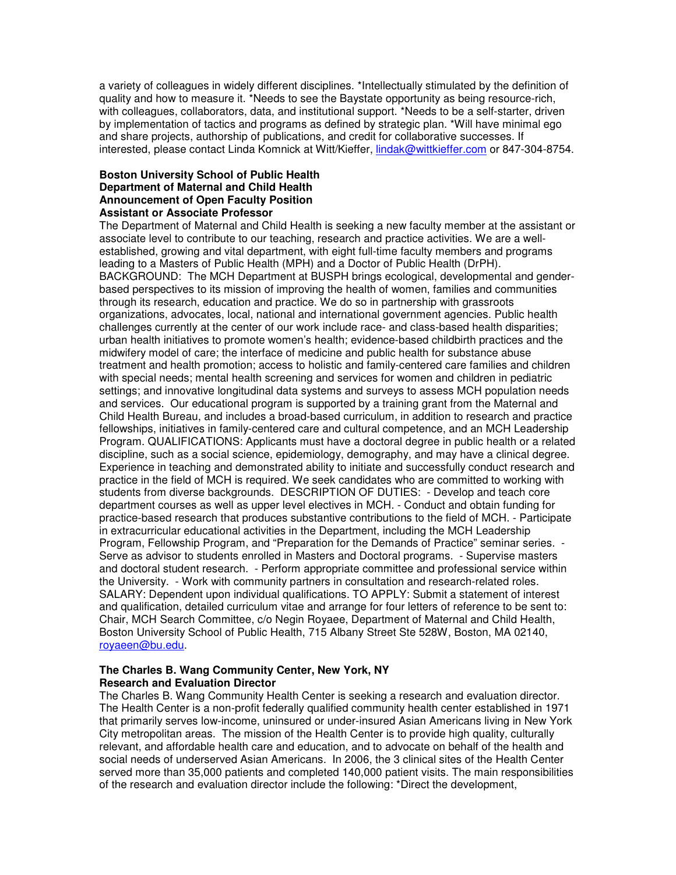a variety of colleagues in widely different disciplines. \*Intellectually stimulated by the definition of quality and how to measure it. \*Needs to see the Baystate opportunity as being resource-rich, with colleagues, collaborators, data, and institutional support. \*Needs to be a self-starter, driven by implementation of tactics and programs as defined by strategic plan. \*Will have minimal ego and share projects, authorship of publications, and credit for collaborative successes. If interested, please contact Linda Komnick at Witt/Kieffer, lindak@wittkieffer.com or 847-304-8754.

## **Boston University School of Public Health Department of Maternal and Child Health Announcement of Open Faculty Position Assistant or Associate Professor**

The Department of Maternal and Child Health is seeking a new faculty member at the assistant or associate level to contribute to our teaching, research and practice activities. We are a wellestablished, growing and vital department, with eight full-time faculty members and programs leading to a Masters of Public Health (MPH) and a Doctor of Public Health (DrPH). BACKGROUND: The MCH Department at BUSPH brings ecological, developmental and genderbased perspectives to its mission of improving the health of women, families and communities through its research, education and practice. We do so in partnership with grassroots organizations, advocates, local, national and international government agencies. Public health challenges currently at the center of our work include race- and class-based health disparities; urban health initiatives to promote women's health; evidence-based childbirth practices and the midwifery model of care; the interface of medicine and public health for substance abuse treatment and health promotion; access to holistic and family-centered care families and children with special needs; mental health screening and services for women and children in pediatric settings; and innovative longitudinal data systems and surveys to assess MCH population needs and services. Our educational program is supported by a training grant from the Maternal and Child Health Bureau, and includes a broad-based curriculum, in addition to research and practice fellowships, initiatives in family-centered care and cultural competence, and an MCH Leadership Program. QUALIFICATIONS: Applicants must have a doctoral degree in public health or a related discipline, such as a social science, epidemiology, demography, and may have a clinical degree. Experience in teaching and demonstrated ability to initiate and successfully conduct research and practice in the field of MCH is required. We seek candidates who are committed to working with students from diverse backgrounds. DESCRIPTION OF DUTIES: - Develop and teach core department courses as well as upper level electives in MCH. - Conduct and obtain funding for practice-based research that produces substantive contributions to the field of MCH. - Participate in extracurricular educational activities in the Department, including the MCH Leadership Program, Fellowship Program, and "Preparation for the Demands of Practice" seminar series. - Serve as advisor to students enrolled in Masters and Doctoral programs. - Supervise masters and doctoral student research. - Perform appropriate committee and professional service within the University. - Work with community partners in consultation and research-related roles. SALARY: Dependent upon individual qualifications. TO APPLY: Submit a statement of interest and qualification, detailed curriculum vitae and arrange for four letters of reference to be sent to: Chair, MCH Search Committee, c/o Negin Royaee, Department of Maternal and Child Health, Boston University School of Public Health, 715 Albany Street Ste 528W, Boston, MA 02140, royaeen@bu.edu.

## **The Charles B. Wang Community Center, New York, NY Research and Evaluation Director**

The Charles B. Wang Community Health Center is seeking a research and evaluation director. The Health Center is a non-profit federally qualified community health center established in 1971 that primarily serves low-income, uninsured or under-insured Asian Americans living in New York City metropolitan areas. The mission of the Health Center is to provide high quality, culturally relevant, and affordable health care and education, and to advocate on behalf of the health and social needs of underserved Asian Americans. In 2006, the 3 clinical sites of the Health Center served more than 35,000 patients and completed 140,000 patient visits. The main responsibilities of the research and evaluation director include the following: \*Direct the development,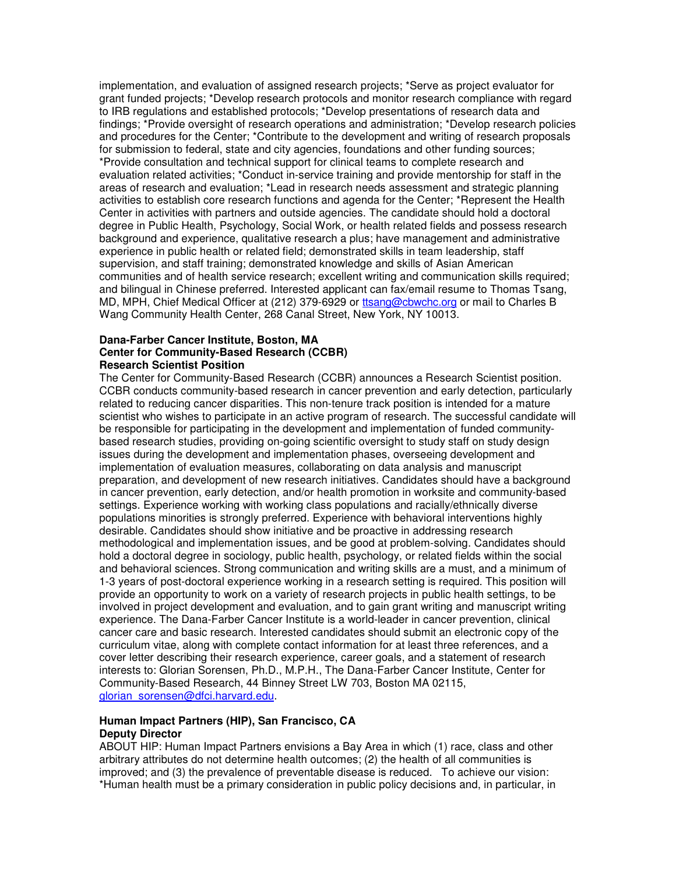implementation, and evaluation of assigned research projects; \*Serve as project evaluator for grant funded projects; \*Develop research protocols and monitor research compliance with regard to IRB regulations and established protocols; \*Develop presentations of research data and findings; \*Provide oversight of research operations and administration; \*Develop research policies and procedures for the Center; \*Contribute to the development and writing of research proposals for submission to federal, state and city agencies, foundations and other funding sources; \*Provide consultation and technical support for clinical teams to complete research and evaluation related activities; \*Conduct in-service training and provide mentorship for staff in the areas of research and evaluation; \*Lead in research needs assessment and strategic planning activities to establish core research functions and agenda for the Center; \*Represent the Health Center in activities with partners and outside agencies. The candidate should hold a doctoral degree in Public Health, Psychology, Social Work, or health related fields and possess research background and experience, qualitative research a plus; have management and administrative experience in public health or related field; demonstrated skills in team leadership, staff supervision, and staff training; demonstrated knowledge and skills of Asian American communities and of health service research; excellent writing and communication skills required; and bilingual in Chinese preferred. Interested applicant can fax/email resume to Thomas Tsang, MD, MPH, Chief Medical Officer at (212) 379-6929 or ttsang@cbwchc.org or mail to Charles B Wang Community Health Center, 268 Canal Street, New York, NY 10013.

#### **Dana-Farber Cancer Institute, Boston, MA Center for Community-Based Research (CCBR) Research Scientist Position**

The Center for Community-Based Research (CCBR) announces a Research Scientist position. CCBR conducts community-based research in cancer prevention and early detection, particularly related to reducing cancer disparities. This non-tenure track position is intended for a mature scientist who wishes to participate in an active program of research. The successful candidate will be responsible for participating in the development and implementation of funded communitybased research studies, providing on-going scientific oversight to study staff on study design issues during the development and implementation phases, overseeing development and implementation of evaluation measures, collaborating on data analysis and manuscript preparation, and development of new research initiatives. Candidates should have a background in cancer prevention, early detection, and/or health promotion in worksite and community-based settings. Experience working with working class populations and racially/ethnically diverse populations minorities is strongly preferred. Experience with behavioral interventions highly desirable. Candidates should show initiative and be proactive in addressing research methodological and implementation issues, and be good at problem-solving. Candidates should hold a doctoral degree in sociology, public health, psychology, or related fields within the social and behavioral sciences. Strong communication and writing skills are a must, and a minimum of 1-3 years of post-doctoral experience working in a research setting is required. This position will provide an opportunity to work on a variety of research projects in public health settings, to be involved in project development and evaluation, and to gain grant writing and manuscript writing experience. The Dana-Farber Cancer Institute is a world-leader in cancer prevention, clinical cancer care and basic research. Interested candidates should submit an electronic copy of the curriculum vitae, along with complete contact information for at least three references, and a cover letter describing their research experience, career goals, and a statement of research interests to: Glorian Sorensen, Ph.D., M.P.H., The Dana-Farber Cancer Institute, Center for Community-Based Research, 44 Binney Street LW 703, Boston MA 02115, glorian\_sorensen@dfci.harvard.edu.

## **Human Impact Partners (HIP), San Francisco, CA Deputy Director**

ABOUT HIP: Human Impact Partners envisions a Bay Area in which (1) race, class and other arbitrary attributes do not determine health outcomes; (2) the health of all communities is improved; and (3) the prevalence of preventable disease is reduced. To achieve our vision: \*Human health must be a primary consideration in public policy decisions and, in particular, in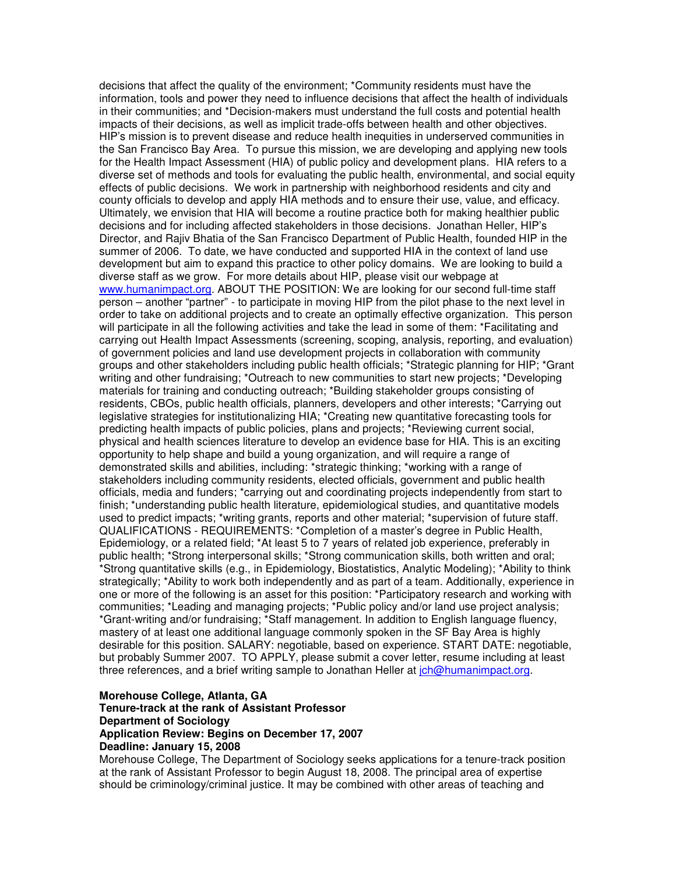decisions that affect the quality of the environment; \*Community residents must have the information, tools and power they need to influence decisions that affect the health of individuals in their communities; and \*Decision-makers must understand the full costs and potential health impacts of their decisions, as well as implicit trade-offs between health and other objectives. HIP's mission is to prevent disease and reduce health inequities in underserved communities in the San Francisco Bay Area. To pursue this mission, we are developing and applying new tools for the Health Impact Assessment (HIA) of public policy and development plans. HIA refers to a diverse set of methods and tools for evaluating the public health, environmental, and social equity effects of public decisions. We work in partnership with neighborhood residents and city and county officials to develop and apply HIA methods and to ensure their use, value, and efficacy. Ultimately, we envision that HIA will become a routine practice both for making healthier public decisions and for including affected stakeholders in those decisions. Jonathan Heller, HIP's Director, and Rajiv Bhatia of the San Francisco Department of Public Health, founded HIP in the summer of 2006. To date, we have conducted and supported HIA in the context of land use development but aim to expand this practice to other policy domains. We are looking to build a diverse staff as we grow. For more details about HIP, please visit our webpage at www.humanimpact.org. ABOUT THE POSITION: We are looking for our second full-time staff person – another "partner" - to participate in moving HIP from the pilot phase to the next level in order to take on additional projects and to create an optimally effective organization. This person will participate in all the following activities and take the lead in some of them: \*Facilitating and carrying out Health Impact Assessments (screening, scoping, analysis, reporting, and evaluation) of government policies and land use development projects in collaboration with community groups and other stakeholders including public health officials; \*Strategic planning for HIP; \*Grant writing and other fundraising; \*Outreach to new communities to start new projects; \*Developing materials for training and conducting outreach; \*Building stakeholder groups consisting of residents, CBOs, public health officials, planners, developers and other interests; \*Carrying out legislative strategies for institutionalizing HIA; \*Creating new quantitative forecasting tools for predicting health impacts of public policies, plans and projects; \*Reviewing current social, physical and health sciences literature to develop an evidence base for HIA. This is an exciting opportunity to help shape and build a young organization, and will require a range of demonstrated skills and abilities, including: \*strategic thinking; \*working with a range of stakeholders including community residents, elected officials, government and public health officials, media and funders; \*carrying out and coordinating projects independently from start to finish; \*understanding public health literature, epidemiological studies, and quantitative models used to predict impacts; \*writing grants, reports and other material; \*supervision of future staff. QUALIFICATIONS - REQUIREMENTS: \*Completion of a master's degree in Public Health, Epidemiology, or a related field; \*At least 5 to 7 years of related job experience, preferably in public health; \*Strong interpersonal skills; \*Strong communication skills, both written and oral; \*Strong quantitative skills (e.g., in Epidemiology, Biostatistics, Analytic Modeling); \*Ability to think strategically; \*Ability to work both independently and as part of a team. Additionally, experience in one or more of the following is an asset for this position: \*Participatory research and working with communities; \*Leading and managing projects; \*Public policy and/or land use project analysis; \*Grant-writing and/or fundraising; \*Staff management. In addition to English language fluency, mastery of at least one additional language commonly spoken in the SF Bay Area is highly desirable for this position. SALARY: negotiable, based on experience. START DATE: negotiable, but probably Summer 2007. TO APPLY, please submit a cover letter, resume including at least three references, and a brief writing sample to Jonathan Heller at  $ich@humanimpact.org$ .

## **Morehouse College, Atlanta, GA Tenure-track at the rank of Assistant Professor Department of Sociology Application Review: Begins on December 17, 2007 Deadline: January 15, 2008**

Morehouse College, The Department of Sociology seeks applications for a tenure-track position at the rank of Assistant Professor to begin August 18, 2008. The principal area of expertise should be criminology/criminal justice. It may be combined with other areas of teaching and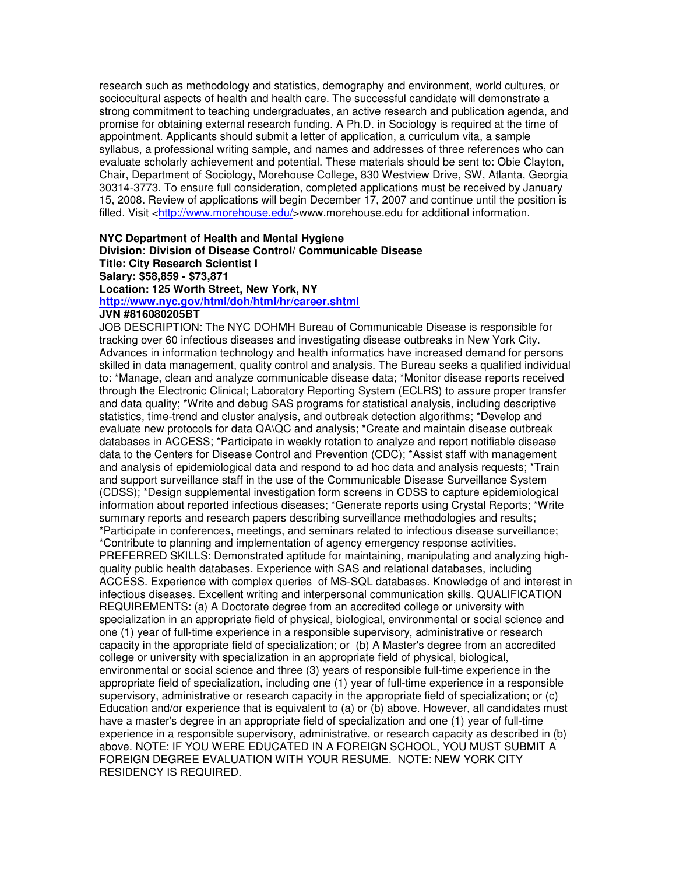research such as methodology and statistics, demography and environment, world cultures, or sociocultural aspects of health and health care. The successful candidate will demonstrate a strong commitment to teaching undergraduates, an active research and publication agenda, and promise for obtaining external research funding. A Ph.D. in Sociology is required at the time of appointment. Applicants should submit a letter of application, a curriculum vita, a sample syllabus, a professional writing sample, and names and addresses of three references who can evaluate scholarly achievement and potential. These materials should be sent to: Obie Clayton, Chair, Department of Sociology, Morehouse College, 830 Westview Drive, SW, Atlanta, Georgia 30314-3773. To ensure full consideration, completed applications must be received by January 15, 2008. Review of applications will begin December 17, 2007 and continue until the position is filled. Visit <http://www.morehouse.edu/>www.morehouse.edu for additional information.

## **NYC Department of Health and Mental Hygiene Division: Division of Disease Control/ Communicable Disease Title: City Research Scientist I Salary: \$58,859 - \$73,871 Location: 125 Worth Street, New York, NY http://www.nyc.gov/html/doh/html/hr/career.shtml**

#### **JVN #816080205BT**

JOB DESCRIPTION: The NYC DOHMH Bureau of Communicable Disease is responsible for tracking over 60 infectious diseases and investigating disease outbreaks in New York City. Advances in information technology and health informatics have increased demand for persons skilled in data management, quality control and analysis. The Bureau seeks a qualified individual to: \*Manage, clean and analyze communicable disease data; \*Monitor disease reports received through the Electronic Clinical; Laboratory Reporting System (ECLRS) to assure proper transfer and data quality; \*Write and debug SAS programs for statistical analysis, including descriptive statistics, time-trend and cluster analysis, and outbreak detection algorithms; \*Develop and evaluate new protocols for data QA\QC and analysis; \*Create and maintain disease outbreak databases in ACCESS; \*Participate in weekly rotation to analyze and report notifiable disease data to the Centers for Disease Control and Prevention (CDC); \*Assist staff with management and analysis of epidemiological data and respond to ad hoc data and analysis requests; \*Train and support surveillance staff in the use of the Communicable Disease Surveillance System (CDSS); \*Design supplemental investigation form screens in CDSS to capture epidemiological information about reported infectious diseases; \*Generate reports using Crystal Reports; \*Write summary reports and research papers describing surveillance methodologies and results; \*Participate in conferences, meetings, and seminars related to infectious disease surveillance; \*Contribute to planning and implementation of agency emergency response activities. PREFERRED SKILLS: Demonstrated aptitude for maintaining, manipulating and analyzing highquality public health databases. Experience with SAS and relational databases, including ACCESS. Experience with complex queries of MS-SQL databases. Knowledge of and interest in infectious diseases. Excellent writing and interpersonal communication skills. QUALIFICATION REQUIREMENTS: (a) A Doctorate degree from an accredited college or university with specialization in an appropriate field of physical, biological, environmental or social science and one (1) year of full-time experience in a responsible supervisory, administrative or research capacity in the appropriate field of specialization; or (b) A Master's degree from an accredited college or university with specialization in an appropriate field of physical, biological, environmental or social science and three (3) years of responsible full-time experience in the appropriate field of specialization, including one (1) year of full-time experience in a responsible supervisory, administrative or research capacity in the appropriate field of specialization; or (c) Education and/or experience that is equivalent to (a) or (b) above. However, all candidates must have a master's degree in an appropriate field of specialization and one (1) year of full-time experience in a responsible supervisory, administrative, or research capacity as described in (b) above. NOTE: IF YOU WERE EDUCATED IN A FOREIGN SCHOOL, YOU MUST SUBMIT A FOREIGN DEGREE EVALUATION WITH YOUR RESUME. NOTE: NEW YORK CITY RESIDENCY IS REQUIRED.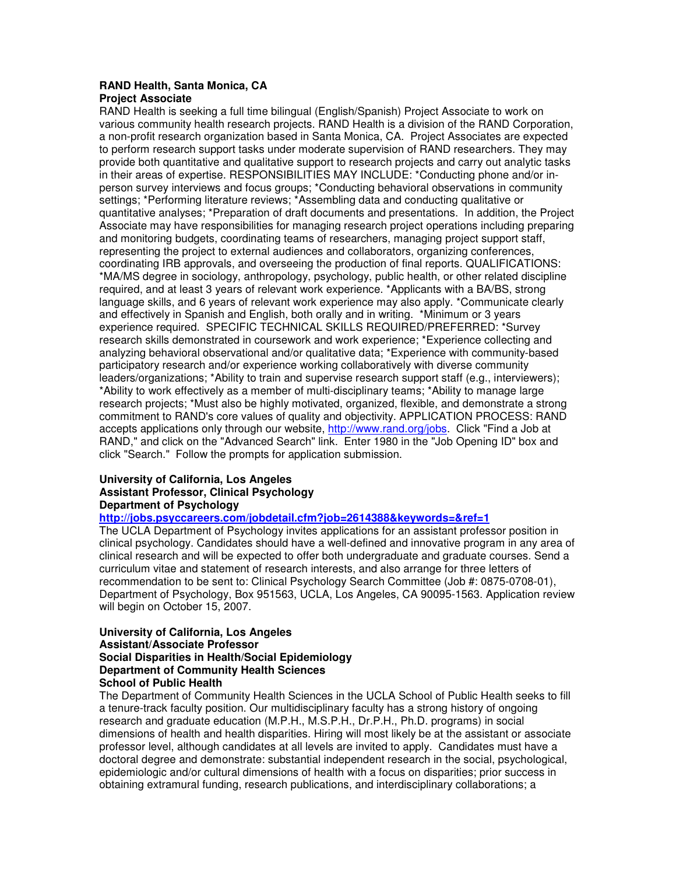# **RAND Health, Santa Monica, CA**

## **Project Associate**

RAND Health is seeking a full time bilingual (English/Spanish) Project Associate to work on various community health research projects. RAND Health is a division of the RAND Corporation, a non-profit research organization based in Santa Monica, CA. Project Associates are expected to perform research support tasks under moderate supervision of RAND researchers. They may provide both quantitative and qualitative support to research projects and carry out analytic tasks in their areas of expertise. RESPONSIBILITIES MAY INCLUDE: \*Conducting phone and/or inperson survey interviews and focus groups; \*Conducting behavioral observations in community settings; \*Performing literature reviews; \*Assembling data and conducting qualitative or quantitative analyses; \*Preparation of draft documents and presentations. In addition, the Project Associate may have responsibilities for managing research project operations including preparing and monitoring budgets, coordinating teams of researchers, managing project support staff, representing the project to external audiences and collaborators, organizing conferences, coordinating IRB approvals, and overseeing the production of final reports. QUALIFICATIONS: \*MA/MS degree in sociology, anthropology, psychology, public health, or other related discipline required, and at least 3 years of relevant work experience. \*Applicants with a BA/BS, strong language skills, and 6 years of relevant work experience may also apply. \*Communicate clearly and effectively in Spanish and English, both orally and in writing. \*Minimum or 3 years experience required. SPECIFIC TECHNICAL SKILLS REQUIRED/PREFERRED: \*Survey research skills demonstrated in coursework and work experience; \*Experience collecting and analyzing behavioral observational and/or qualitative data; \*Experience with community-based participatory research and/or experience working collaboratively with diverse community leaders/organizations; \*Ability to train and supervise research support staff (e.g., interviewers); \*Ability to work effectively as a member of multi-disciplinary teams; \*Ability to manage large research projects; \*Must also be highly motivated, organized, flexible, and demonstrate a strong commitment to RAND's core values of quality and objectivity. APPLICATION PROCESS: RAND accepts applications only through our website, http://www.rand.org/jobs. Click "Find a Job at RAND," and click on the "Advanced Search" link. Enter 1980 in the "Job Opening ID" box and click "Search." Follow the prompts for application submission.

## **University of California, Los Angeles Assistant Professor, Clinical Psychology Department of Psychology**

**http://jobs.psyccareers.com/jobdetail.cfm?job=2614388&keywords=&ref=1**

The UCLA Department of Psychology invites applications for an assistant professor position in clinical psychology. Candidates should have a well-defined and innovative program in any area of clinical research and will be expected to offer both undergraduate and graduate courses. Send a curriculum vitae and statement of research interests, and also arrange for three letters of recommendation to be sent to: Clinical Psychology Search Committee (Job #: 0875-0708-01), Department of Psychology, Box 951563, UCLA, Los Angeles, CA 90095-1563. Application review will begin on October 15, 2007.

#### **University of California, Los Angeles Assistant/Associate Professor Social Disparities in Health/Social Epidemiology Department of Community Health Sciences School of Public Health**

The Department of Community Health Sciences in the UCLA School of Public Health seeks to fill a tenure-track faculty position. Our multidisciplinary faculty has a strong history of ongoing research and graduate education (M.P.H., M.S.P.H., Dr.P.H., Ph.D. programs) in social dimensions of health and health disparities. Hiring will most likely be at the assistant or associate professor level, although candidates at all levels are invited to apply. Candidates must have a doctoral degree and demonstrate: substantial independent research in the social, psychological, epidemiologic and/or cultural dimensions of health with a focus on disparities; prior success in obtaining extramural funding, research publications, and interdisciplinary collaborations; a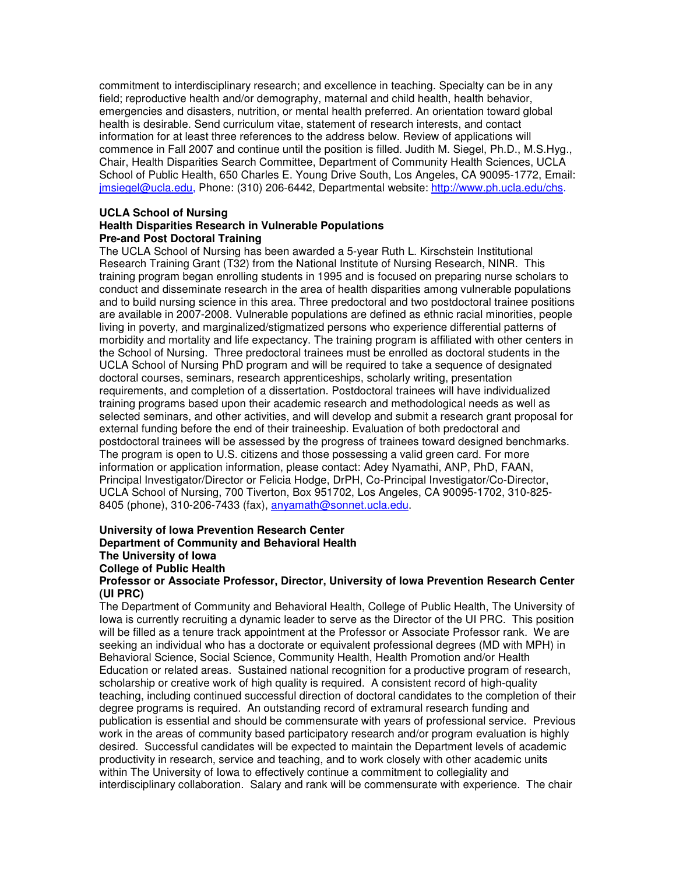commitment to interdisciplinary research; and excellence in teaching. Specialty can be in any field; reproductive health and/or demography, maternal and child health, health behavior, emergencies and disasters, nutrition, or mental health preferred. An orientation toward global health is desirable. Send curriculum vitae, statement of research interests, and contact information for at least three references to the address below. Review of applications will commence in Fall 2007 and continue until the position is filled. Judith M. Siegel, Ph.D., M.S.Hyg., Chair, Health Disparities Search Committee, Department of Community Health Sciences, UCLA School of Public Health, 650 Charles E. Young Drive South, Los Angeles, CA 90095-1772, Email: jmsiegel@ucla.edu, Phone: (310) 206-6442, Departmental website: http://www.ph.ucla.edu/chs.

# **UCLA School of Nursing**

## **Health Disparities Research in Vulnerable Populations Pre-and Post Doctoral Training**

The UCLA School of Nursing has been awarded a 5-year Ruth L. Kirschstein Institutional Research Training Grant (T32) from the National Institute of Nursing Research, NINR. This training program began enrolling students in 1995 and is focused on preparing nurse scholars to conduct and disseminate research in the area of health disparities among vulnerable populations and to build nursing science in this area. Three predoctoral and two postdoctoral trainee positions are available in 2007-2008. Vulnerable populations are defined as ethnic racial minorities, people living in poverty, and marginalized/stigmatized persons who experience differential patterns of morbidity and mortality and life expectancy. The training program is affiliated with other centers in the School of Nursing. Three predoctoral trainees must be enrolled as doctoral students in the UCLA School of Nursing PhD program and will be required to take a sequence of designated doctoral courses, seminars, research apprenticeships, scholarly writing, presentation requirements, and completion of a dissertation. Postdoctoral trainees will have individualized training programs based upon their academic research and methodological needs as well as selected seminars, and other activities, and will develop and submit a research grant proposal for external funding before the end of their traineeship. Evaluation of both predoctoral and postdoctoral trainees will be assessed by the progress of trainees toward designed benchmarks. The program is open to U.S. citizens and those possessing a valid green card. For more information or application information, please contact: Adey Nyamathi, ANP, PhD, FAAN, Principal Investigator/Director or Felicia Hodge, DrPH, Co-Principal Investigator/Co-Director, UCLA School of Nursing, 700 Tiverton, Box 951702, Los Angeles, CA 90095-1702, 310-825- 8405 (phone), 310-206-7433 (fax), anyamath@sonnet.ucla.edu.

#### **University of Iowa Prevention Research Center Department of Community and Behavioral Health The University of Iowa**

**College of Public Health**

## **Professor or Associate Professor, Director, University of Iowa Prevention Research Center (UI PRC)**

The Department of Community and Behavioral Health, College of Public Health, The University of Iowa is currently recruiting a dynamic leader to serve as the Director of the UI PRC. This position will be filled as a tenure track appointment at the Professor or Associate Professor rank. We are seeking an individual who has a doctorate or equivalent professional degrees (MD with MPH) in Behavioral Science, Social Science, Community Health, Health Promotion and/or Health Education or related areas. Sustained national recognition for a productive program of research, scholarship or creative work of high quality is required. A consistent record of high-quality teaching, including continued successful direction of doctoral candidates to the completion of their degree programs is required. An outstanding record of extramural research funding and publication is essential and should be commensurate with years of professional service. Previous work in the areas of community based participatory research and/or program evaluation is highly desired. Successful candidates will be expected to maintain the Department levels of academic productivity in research, service and teaching, and to work closely with other academic units within The University of Iowa to effectively continue a commitment to collegiality and interdisciplinary collaboration. Salary and rank will be commensurate with experience. The chair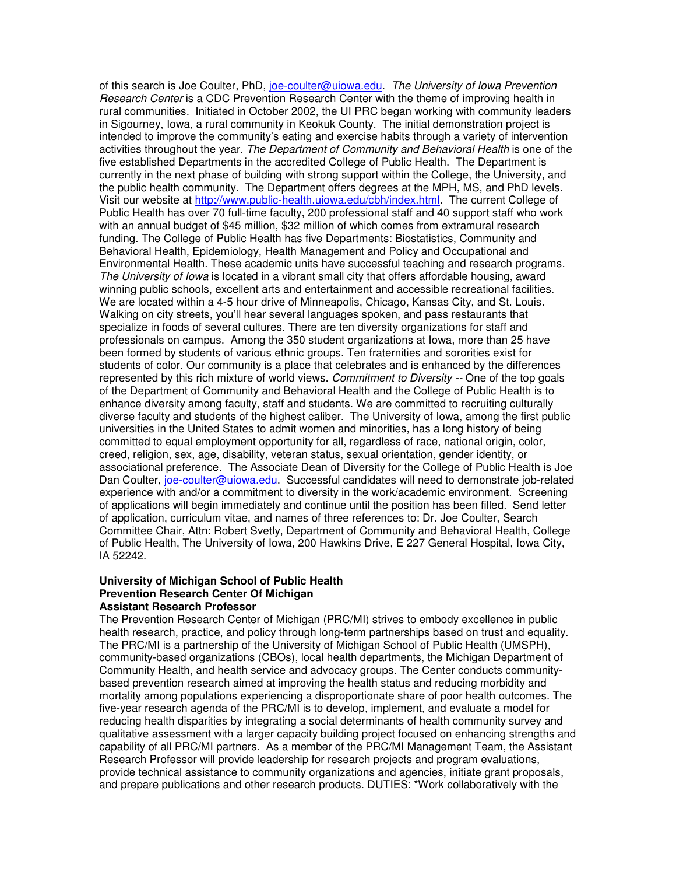of this search is Joe Coulter, PhD, joe-coulter@uiowa.edu. *The University of Iowa Prevention Research Center* is a CDC Prevention Research Center with the theme of improving health in rural communities. Initiated in October 2002, the UI PRC began working with community leaders in Sigourney, Iowa, a rural community in Keokuk County. The initial demonstration project is intended to improve the community's eating and exercise habits through a variety of intervention activities throughout the year. *The Department of Community and Behavioral Health* is one of the five established Departments in the accredited College of Public Health. The Department is currently in the next phase of building with strong support within the College, the University, and the public health community. The Department offers degrees at the MPH, MS, and PhD levels. Visit our website at http://www.public-health.uiowa.edu/cbh/index.html. The current College of Public Health has over 70 full-time faculty, 200 professional staff and 40 support staff who work with an annual budget of \$45 million, \$32 million of which comes from extramural research funding. The College of Public Health has five Departments: Biostatistics, Community and Behavioral Health, Epidemiology, Health Management and Policy and Occupational and Environmental Health. These academic units have successful teaching and research programs. *The University of Iowa* is located in a vibrant small city that offers affordable housing, award winning public schools, excellent arts and entertainment and accessible recreational facilities. We are located within a 4-5 hour drive of Minneapolis, Chicago, Kansas City, and St. Louis. Walking on city streets, you'll hear several languages spoken, and pass restaurants that specialize in foods of several cultures. There are ten diversity organizations for staff and professionals on campus. Among the 350 student organizations at Iowa, more than 25 have been formed by students of various ethnic groups. Ten fraternities and sororities exist for students of color. Our community is a place that celebrates and is enhanced by the differences represented by this rich mixture of world views. *Commitment to Diversity --* One of the top goals of the Department of Community and Behavioral Health and the College of Public Health is to enhance diversity among faculty, staff and students. We are committed to recruiting culturally diverse faculty and students of the highest caliber. The University of Iowa, among the first public universities in the United States to admit women and minorities, has a long history of being committed to equal employment opportunity for all, regardless of race, national origin, color, creed, religion, sex, age, disability, veteran status, sexual orientation, gender identity, or associational preference. The Associate Dean of Diversity for the College of Public Health is Joe Dan Coulter, joe-coulter@uiowa.edu. Successful candidates will need to demonstrate job-related experience with and/or a commitment to diversity in the work/academic environment. Screening of applications will begin immediately and continue until the position has been filled. Send letter of application, curriculum vitae, and names of three references to: Dr. Joe Coulter, Search Committee Chair, Attn: Robert Svetly, Department of Community and Behavioral Health, College of Public Health, The University of Iowa, 200 Hawkins Drive, E 227 General Hospital, Iowa City, IA 52242.

#### **University of Michigan School of Public Health Prevention Research Center Of Michigan Assistant Research Professor**

The Prevention Research Center of Michigan (PRC/MI) strives to embody excellence in public health research, practice, and policy through long-term partnerships based on trust and equality. The PRC/MI is a partnership of the University of Michigan School of Public Health (UMSPH), community-based organizations (CBOs), local health departments, the Michigan Department of Community Health, and health service and advocacy groups. The Center conducts communitybased prevention research aimed at improving the health status and reducing morbidity and mortality among populations experiencing a disproportionate share of poor health outcomes. The five-year research agenda of the PRC/MI is to develop, implement, and evaluate a model for reducing health disparities by integrating a social determinants of health community survey and qualitative assessment with a larger capacity building project focused on enhancing strengths and capability of all PRC/MI partners. As a member of the PRC/MI Management Team, the Assistant Research Professor will provide leadership for research projects and program evaluations, provide technical assistance to community organizations and agencies, initiate grant proposals, and prepare publications and other research products. DUTIES: \*Work collaboratively with the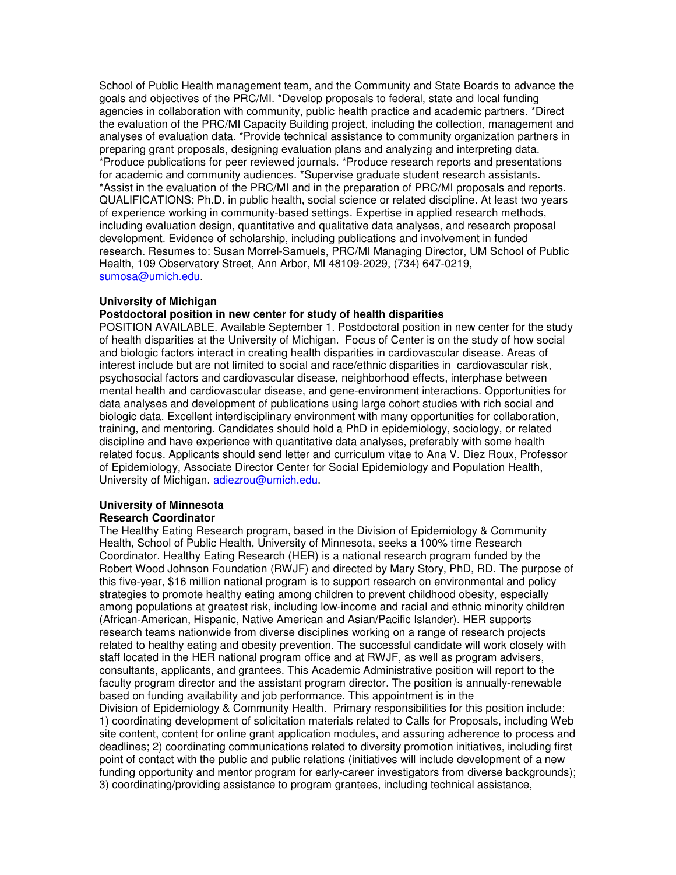School of Public Health management team, and the Community and State Boards to advance the goals and objectives of the PRC/MI. \*Develop proposals to federal, state and local funding agencies in collaboration with community, public health practice and academic partners. \*Direct the evaluation of the PRC/MI Capacity Building project, including the collection, management and analyses of evaluation data. \*Provide technical assistance to community organization partners in preparing grant proposals, designing evaluation plans and analyzing and interpreting data. \*Produce publications for peer reviewed journals. \*Produce research reports and presentations for academic and community audiences. \*Supervise graduate student research assistants. \*Assist in the evaluation of the PRC/MI and in the preparation of PRC/MI proposals and reports. QUALIFICATIONS: Ph.D. in public health, social science or related discipline. At least two years of experience working in community-based settings. Expertise in applied research methods, including evaluation design, quantitative and qualitative data analyses, and research proposal development. Evidence of scholarship, including publications and involvement in funded research. Resumes to: Susan Morrel-Samuels, PRC/MI Managing Director, UM School of Public Health, 109 Observatory Street, Ann Arbor, MI 48109-2029, (734) 647-0219, sumosa@umich.edu.

#### **University of Michigan**

#### **Postdoctoral position in new center for study of health disparities**

POSITION AVAILABLE. Available September 1. Postdoctoral position in new center for the study of health disparities at the University of Michigan. Focus of Center is on the study of how social and biologic factors interact in creating health disparities in cardiovascular disease. Areas of interest include but are not limited to social and race/ethnic disparities in cardiovascular risk, psychosocial factors and cardiovascular disease, neighborhood effects, interphase between mental health and cardiovascular disease, and gene-environment interactions. Opportunities for data analyses and development of publications using large cohort studies with rich social and biologic data. Excellent interdisciplinary environment with many opportunities for collaboration, training, and mentoring. Candidates should hold a PhD in epidemiology, sociology, or related discipline and have experience with quantitative data analyses, preferably with some health related focus. Applicants should send letter and curriculum vitae to Ana V. Diez Roux, Professor of Epidemiology, Associate Director Center for Social Epidemiology and Population Health, University of Michigan. adiezrou@umich.edu.

### **University of Minnesota Research Coordinator**

The Healthy Eating Research program, based in the Division of Epidemiology & Community Health, School of Public Health, University of Minnesota, seeks a 100% time Research Coordinator. Healthy Eating Research (HER) is a national research program funded by the Robert Wood Johnson Foundation (RWJF) and directed by Mary Story, PhD, RD. The purpose of this five-year, \$16 million national program is to support research on environmental and policy strategies to promote healthy eating among children to prevent childhood obesity, especially among populations at greatest risk, including low-income and racial and ethnic minority children (African-American, Hispanic, Native American and Asian/Pacific Islander). HER supports research teams nationwide from diverse disciplines working on a range of research projects related to healthy eating and obesity prevention. The successful candidate will work closely with staff located in the HER national program office and at RWJF, as well as program advisers, consultants, applicants, and grantees. This Academic Administrative position will report to the faculty program director and the assistant program director. The position is annually-renewable based on funding availability and job performance. This appointment is in the Division of Epidemiology & Community Health. Primary responsibilities for this position include: 1) coordinating development of solicitation materials related to Calls for Proposals, including Web site content, content for online grant application modules, and assuring adherence to process and deadlines; 2) coordinating communications related to diversity promotion initiatives, including first point of contact with the public and public relations (initiatives will include development of a new funding opportunity and mentor program for early-career investigators from diverse backgrounds);

3) coordinating/providing assistance to program grantees, including technical assistance,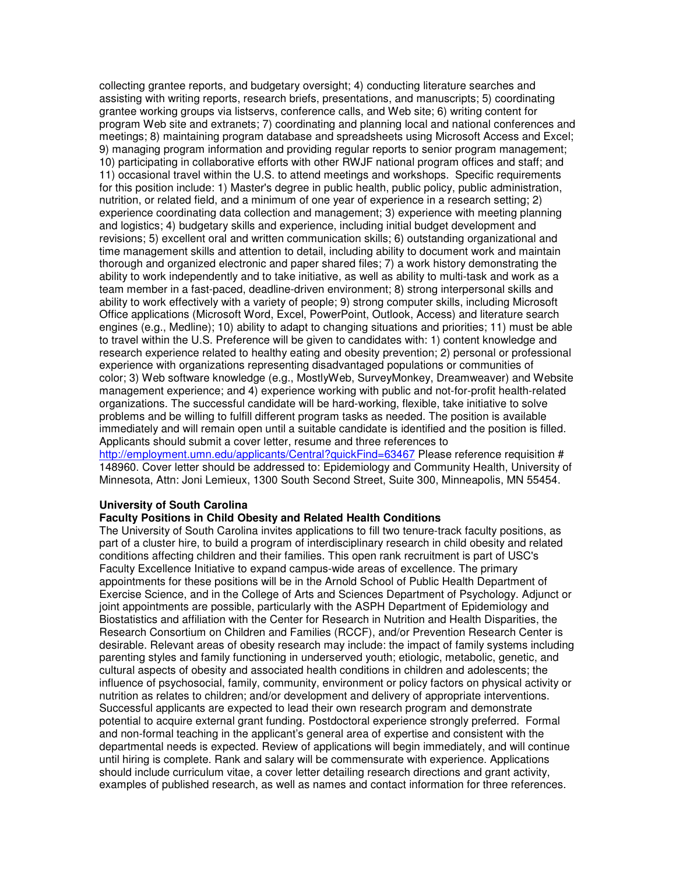collecting grantee reports, and budgetary oversight; 4) conducting literature searches and assisting with writing reports, research briefs, presentations, and manuscripts; 5) coordinating grantee working groups via listservs, conference calls, and Web site; 6) writing content for program Web site and extranets; 7) coordinating and planning local and national conferences and meetings; 8) maintaining program database and spreadsheets using Microsoft Access and Excel; 9) managing program information and providing regular reports to senior program management; 10) participating in collaborative efforts with other RWJF national program offices and staff; and 11) occasional travel within the U.S. to attend meetings and workshops. Specific requirements for this position include: 1) Master's degree in public health, public policy, public administration, nutrition, or related field, and a minimum of one year of experience in a research setting; 2) experience coordinating data collection and management; 3) experience with meeting planning and logistics; 4) budgetary skills and experience, including initial budget development and revisions; 5) excellent oral and written communication skills; 6) outstanding organizational and time management skills and attention to detail, including ability to document work and maintain thorough and organized electronic and paper shared files; 7) a work history demonstrating the ability to work independently and to take initiative, as well as ability to multi-task and work as a team member in a fast-paced, deadline-driven environment; 8) strong interpersonal skills and ability to work effectively with a variety of people; 9) strong computer skills, including Microsoft Office applications (Microsoft Word, Excel, PowerPoint, Outlook, Access) and literature search engines (e.g., Medline); 10) ability to adapt to changing situations and priorities; 11) must be able to travel within the U.S. Preference will be given to candidates with: 1) content knowledge and research experience related to healthy eating and obesity prevention; 2) personal or professional experience with organizations representing disadvantaged populations or communities of color; 3) Web software knowledge (e.g., MostlyWeb, SurveyMonkey, Dreamweaver) and Website management experience; and 4) experience working with public and not-for-profit health-related organizations. The successful candidate will be hard-working, flexible, take initiative to solve problems and be willing to fulfill different program tasks as needed. The position is available immediately and will remain open until a suitable candidate is identified and the position is filled. Applicants should submit a cover letter, resume and three references to http://employment.umn.edu/applicants/Central?quickFind=63467 Please reference requisition # 148960. Cover letter should be addressed to: Epidemiology and Community Health, University of

Minnesota, Attn: Joni Lemieux, 1300 South Second Street, Suite 300, Minneapolis, MN 55454.

## **University of South Carolina**

## **Faculty Positions in Child Obesity and Related Health Conditions**

The University of South Carolina invites applications to fill two tenure-track faculty positions, as part of a cluster hire, to build a program of interdisciplinary research in child obesity and related conditions affecting children and their families. This open rank recruitment is part of USC's Faculty Excellence Initiative to expand campus-wide areas of excellence. The primary appointments for these positions will be in the Arnold School of Public Health Department of Exercise Science, and in the College of Arts and Sciences Department of Psychology. Adjunct or joint appointments are possible, particularly with the ASPH Department of Epidemiology and Biostatistics and affiliation with the Center for Research in Nutrition and Health Disparities, the Research Consortium on Children and Families (RCCF), and/or Prevention Research Center is desirable. Relevant areas of obesity research may include: the impact of family systems including parenting styles and family functioning in underserved youth; etiologic, metabolic, genetic, and cultural aspects of obesity and associated health conditions in children and adolescents; the influence of psychosocial, family, community, environment or policy factors on physical activity or nutrition as relates to children; and/or development and delivery of appropriate interventions. Successful applicants are expected to lead their own research program and demonstrate potential to acquire external grant funding. Postdoctoral experience strongly preferred. Formal and non-formal teaching in the applicant's general area of expertise and consistent with the departmental needs is expected. Review of applications will begin immediately, and will continue until hiring is complete. Rank and salary will be commensurate with experience. Applications should include curriculum vitae, a cover letter detailing research directions and grant activity, examples of published research, as well as names and contact information for three references.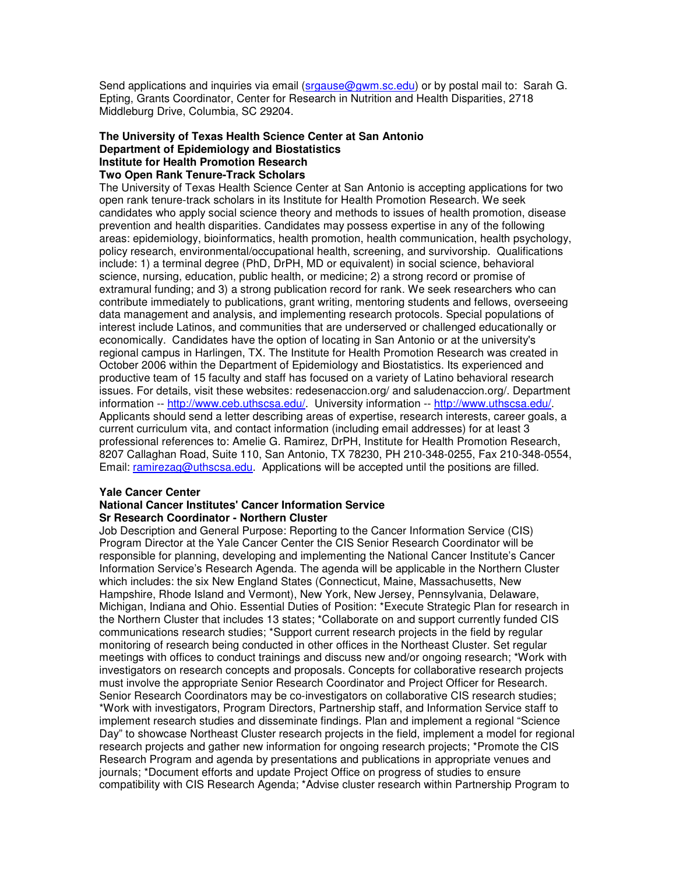Send applications and inquiries via email (srgause@gwm.sc.edu) or by postal mail to: Sarah G. Epting, Grants Coordinator, Center for Research in Nutrition and Health Disparities, 2718 Middleburg Drive, Columbia, SC 29204.

#### **The University of Texas Health Science Center at San Antonio Department of Epidemiology and Biostatistics Institute for Health Promotion Research Two Open Rank Tenure-Track Scholars**

The University of Texas Health Science Center at San Antonio is accepting applications for two open rank tenure-track scholars in its Institute for Health Promotion Research. We seek candidates who apply social science theory and methods to issues of health promotion, disease prevention and health disparities. Candidates may possess expertise in any of the following areas: epidemiology, bioinformatics, health promotion, health communication, health psychology, policy research, environmental/occupational health, screening, and survivorship. Qualifications include: 1) a terminal degree (PhD, DrPH, MD or equivalent) in social science, behavioral science, nursing, education, public health, or medicine; 2) a strong record or promise of extramural funding; and 3) a strong publication record for rank. We seek researchers who can contribute immediately to publications, grant writing, mentoring students and fellows, overseeing data management and analysis, and implementing research protocols. Special populations of interest include Latinos, and communities that are underserved or challenged educationally or economically. Candidates have the option of locating in San Antonio or at the university's regional campus in Harlingen, TX. The Institute for Health Promotion Research was created in October 2006 within the Department of Epidemiology and Biostatistics. Its experienced and productive team of 15 faculty and staff has focused on a variety of Latino behavioral research issues. For details, visit these websites: redesenaccion.org/ and saludenaccion.org/. Department information -- http://www.ceb.uthscsa.edu/. University information -- http://www.uthscsa.edu/. Applicants should send a letter describing areas of expertise, research interests, career goals, a current curriculum vita, and contact information (including email addresses) for at least 3 professional references to: Amelie G. Ramirez, DrPH, Institute for Health Promotion Research, 8207 Callaghan Road, Suite 110, San Antonio, TX 78230, PH 210-348-0255, Fax 210-348-0554, Email: ramirezag@uthscsa.edu. Applications will be accepted until the positions are filled.

#### **Yale Cancer Center National Cancer Institutes'Cancer Information Service Sr Research Coordinator - Northern Cluster**

Job Description and General Purpose: Reporting to the Cancer Information Service (CIS) Program Director at the Yale Cancer Center the CIS Senior Research Coordinator will be responsible for planning, developing and implementing the National Cancer Institute's Cancer Information Service's Research Agenda. The agenda will be applicable in the Northern Cluster which includes: the six New England States (Connecticut, Maine, Massachusetts, New Hampshire, Rhode Island and Vermont), New York, New Jersey, Pennsylvania, Delaware, Michigan, Indiana and Ohio. Essential Duties of Position: \*Execute Strategic Plan for research in the Northern Cluster that includes 13 states; \*Collaborate on and support currently funded CIS communications research studies; \*Support current research projects in the field by regular monitoring of research being conducted in other offices in the Northeast Cluster. Set regular meetings with offices to conduct trainings and discuss new and/or ongoing research; \*Work with investigators on research concepts and proposals. Concepts for collaborative research projects must involve the appropriate Senior Research Coordinator and Project Officer for Research. Senior Research Coordinators may be co-investigators on collaborative CIS research studies; \*Work with investigators, Program Directors, Partnership staff, and Information Service staff to implement research studies and disseminate findings. Plan and implement a regional "Science Day" to showcase Northeast Cluster research projects in the field, implement a model for regional research projects and gather new information for ongoing research projects; \*Promote the CIS Research Program and agenda by presentations and publications in appropriate venues and journals; \*Document efforts and update Project Office on progress of studies to ensure compatibility with CIS Research Agenda; \*Advise cluster research within Partnership Program to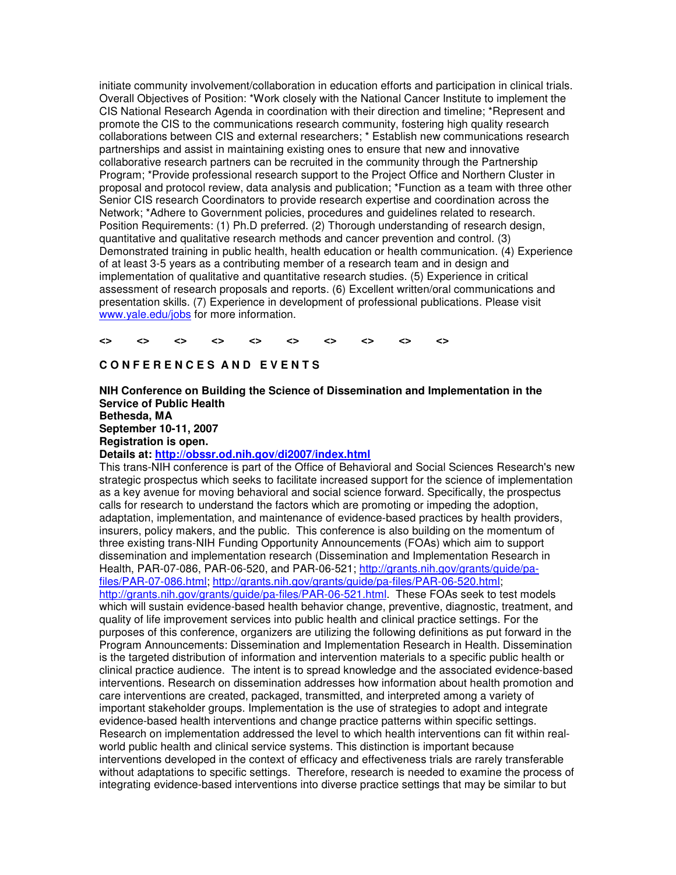initiate community involvement/collaboration in education efforts and participation in clinical trials. Overall Objectives of Position: \*Work closely with the National Cancer Institute to implement the CIS National Research Agenda in coordination with their direction and timeline; \*Represent and promote the CIS to the communications research community, fostering high quality research collaborations between CIS and external researchers; \* Establish new communications research partnerships and assist in maintaining existing ones to ensure that new and innovative collaborative research partners can be recruited in the community through the Partnership Program; \*Provide professional research support to the Project Office and Northern Cluster in proposal and protocol review, data analysis and publication; \*Function as a team with three other Senior CIS research Coordinators to provide research expertise and coordination across the Network; \*Adhere to Government policies, procedures and guidelines related to research. Position Requirements: (1) Ph.D preferred. (2) Thorough understanding of research design, quantitative and qualitative research methods and cancer prevention and control. (3) Demonstrated training in public health, health education or health communication. (4) Experience of at least 3-5 years as a contributing member of a research team and in design and implementation of qualitative and quantitative research studies. (5) Experience in critical assessment of research proposals and reports. (6) Excellent written/oral communications and presentation skills. (7) Experience in development of professional publications. Please visit www.yale.edu/jobs for more information.

#### **<> <> <> <> <> <> <> <> <> <>**

## $C$  **O NFERENCES AND EVENTS**

**NIH Conference on Building the Science of Dissemination and Implementation in the Service of Public Health Bethesda, MA September 10-11, 2007 Registration is open. Details at: http://obssr.od.nih.gov/di2007/index.html**

This trans-NIH conference is part of the Office of Behavioral and Social Sciences Research's new strategic prospectus which seeks to facilitate increased support for the science of implementation as a key avenue for moving behavioral and social science forward. Specifically, the prospectus calls for research to understand the factors which are promoting or impeding the adoption, adaptation, implementation, and maintenance of evidence-based practices by health providers, insurers, policy makers, and the public. This conference is also building on the momentum of three existing trans-NIH Funding Opportunity Announcements (FOAs) which aim to support dissemination and implementation research (Dissemination and Implementation Research in Health, PAR-07-086, PAR-06-520, and PAR-06-521; http://grants.nih.gov/grants/guide/pafiles/PAR-07-086.html; http://grants.nih.gov/grants/guide/pa-files/PAR-06-520.html; http://grants.nih.gov/grants/guide/pa-files/PAR-06-521.html. These FOAs seek to test models which will sustain evidence-based health behavior change, preventive, diagnostic, treatment, and quality of life improvement services into public health and clinical practice settings. For the purposes of this conference, organizers are utilizing the following definitions as put forward in the Program Announcements: Dissemination and Implementation Research in Health. Dissemination is the targeted distribution of information and intervention materials to a specific public health or clinical practice audience. The intent is to spread knowledge and the associated evidence-based interventions. Research on dissemination addresses how information about health promotion and care interventions are created, packaged, transmitted, and interpreted among a variety of important stakeholder groups. Implementation is the use of strategies to adopt and integrate evidence-based health interventions and change practice patterns within specific settings. Research on implementation addressed the level to which health interventions can fit within realworld public health and clinical service systems. This distinction is important because interventions developed in the context of efficacy and effectiveness trials are rarely transferable without adaptations to specific settings. Therefore, research is needed to examine the process of integrating evidence-based interventions into diverse practice settings that may be similar to but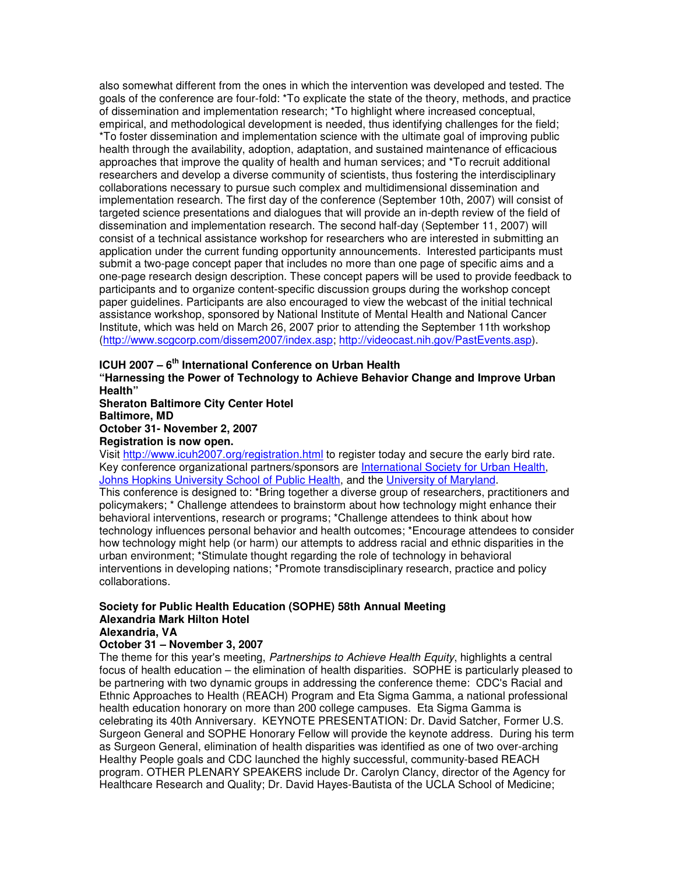also somewhat different from the ones in which the intervention was developed and tested. The goals of the conference are four-fold: \*To explicate the state of the theory, methods, and practice of dissemination and implementation research; \*To highlight where increased conceptual, empirical, and methodological development is needed, thus identifying challenges for the field; \*To foster dissemination and implementation science with the ultimate goal of improving public health through the availability, adoption, adaptation, and sustained maintenance of efficacious approaches that improve the quality of health and human services; and \*To recruit additional researchers and develop a diverse community of scientists, thus fostering the interdisciplinary collaborations necessary to pursue such complex and multidimensional dissemination and implementation research. The first day of the conference (September 10th, 2007) will consist of targeted science presentations and dialogues that will provide an in-depth review of the field of dissemination and implementation research. The second half-day (September 11, 2007) will consist of a technical assistance workshop for researchers who are interested in submitting an application under the current funding opportunity announcements. Interested participants must submit a two-page concept paper that includes no more than one page of specific aims and a one-page research design description. These concept papers will be used to provide feedback to participants and to organize content-specific discussion groups during the workshop concept paper guidelines. Participants are also encouraged to view the webcast of the initial technical assistance workshop, sponsored by National Institute of Mental Health and National Cancer Institute, which was held on March 26, 2007 prior to attending the September 11th workshop (http://www.scgcorp.com/dissem2007/index.asp; http://videocast.nih.gov/PastEvents.asp).

# **ICUH 2007 – 6 th International Conference on Urban Health**

**"Harnessing the Power of Technology to Achieve Behavior Change and Improve Urban Health"**

**Sheraton Baltimore City Center Hotel Baltimore, MD October 31- November 2, 2007**

**Registration is now open.**

Visit http://www.icuh2007.org/registration.html to register today and secure the early bird rate. Key conference organizational partners/sponsors are International Society for Urban Health, Johns Hopkins University School of Public Health, and the University of Maryland.

This conference is designed to: \*Bring together a diverse group of researchers, practitioners and policymakers; \* Challenge attendees to brainstorm about how technology might enhance their behavioral interventions, research or programs; \*Challenge attendees to think about how technology influences personal behavior and health outcomes; \*Encourage attendees to consider how technology might help (or harm) our attempts to address racial and ethnic disparities in the urban environment; \*Stimulate thought regarding the role of technology in behavioral interventions in developing nations; \*Promote transdisciplinary research, practice and policy collaborations.

# **Society for Public Health Education (SOPHE) 58th Annual Meeting Alexandria Mark Hilton Hotel**

# **Alexandria, VA**

## **October 31 – November 3, 2007**

The theme for this year's meeting, *Partnerships to Achieve Health Equity*, highlights a central focus of health education – the elimination of health disparities. SOPHE is particularly pleased to be partnering with two dynamic groups in addressing the conference theme: CDC's Racial and Ethnic Approaches to Health (REACH) Program and Eta Sigma Gamma, a national professional health education honorary on more than 200 college campuses. Eta Sigma Gamma is celebrating its 40th Anniversary. KEYNOTE PRESENTATION: Dr. David Satcher, Former U.S. Surgeon General and SOPHE Honorary Fellow will provide the keynote address. During his term as Surgeon General, elimination of health disparities was identified as one of two over-arching Healthy People goals and CDC launched the highly successful, community-based REACH program. OTHER PLENARY SPEAKERS include Dr. Carolyn Clancy, director of the Agency for Healthcare Research and Quality; Dr. David Hayes-Bautista of the UCLA School of Medicine;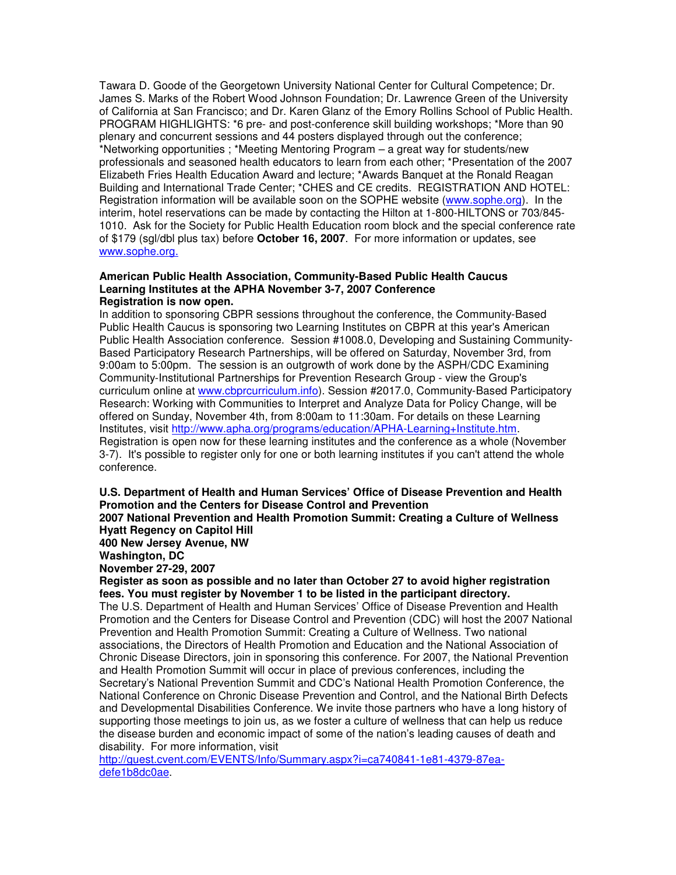Tawara D. Goode of the Georgetown University National Center for Cultural Competence; Dr. James S. Marks of the Robert Wood Johnson Foundation; Dr. Lawrence Green of the University of California at San Francisco; and Dr. Karen Glanz of the Emory Rollins School of Public Health. PROGRAM HIGHLIGHTS: \*6 pre- and post-conference skill building workshops; \*More than 90 plenary and concurrent sessions and 44 posters displayed through out the conference; \*Networking opportunities ; \*Meeting Mentoring Program – a great way for students/new professionals and seasoned health educators to learn from each other; \*Presentation of the 2007 Elizabeth Fries Health Education Award and lecture; \*Awards Banquet at the Ronald Reagan Building and International Trade Center; \*CHES and CE credits. REGISTRATION AND HOTEL: Registration information will be available soon on the SOPHE website (www.sophe.org). In the interim, hotel reservations can be made by contacting the Hilton at 1-800-HILTONS or 703/845- 1010. Ask for the Society for Public Health Education room block and the special conference rate of \$179 (sgl/dbl plus tax) before **October 16, 2007**. For more information or updates, see www.sophe.org.

#### **American Public Health Association, Community-Based Public Health Caucus Learning Institutes at the APHA November 3-7, 2007 Conference Registration is now open.**

In addition to sponsoring CBPR sessions throughout the conference, the Community-Based Public Health Caucus is sponsoring two Learning Institutes on CBPR at this year's American Public Health Association conference. Session #1008.0, Developing and Sustaining Community-Based Participatory Research Partnerships, will be offered on Saturday, November 3rd, from 9:00am to 5:00pm. The session is an outgrowth of work done by the ASPH/CDC Examining Community-Institutional Partnerships for Prevention Research Group - view the Group's curriculum online at www.cbprcurriculum.info). Session #2017.0, Community-Based Participatory Research: Working with Communities to Interpret and Analyze Data for Policy Change, will be offered on Sunday, November 4th, from 8:00am to 11:30am. For details on these Learning Institutes, visit http://www.apha.org/programs/education/APHA-Learning+Institute.htm. Registration is open now for these learning institutes and the conference as a whole (November 3-7). It's possible to register only for one or both learning institutes if you can't attend the whole conference.

**U.S. Department of Health and Human Services' Office of Disease Prevention and Health Promotion and the Centers for Disease Control and Prevention**

**2007 National Prevention and Health Promotion Summit: Creating a Culture of Wellness Hyatt Regency on Capitol Hill**

**400 New Jersey Avenue, NW**

**Washington, DC**

**November 27-29, 2007**

**Register as soon as possible and no later than October 27 to avoid higher registration fees. You must register by November 1 to be listed in the participant directory.**

The U.S. Department of Health and Human Services' Office of Disease Prevention and Health Promotion and the Centers for Disease Control and Prevention (CDC) will host the 2007 National Prevention and Health Promotion Summit: Creating a Culture of Wellness. Two national associations, the Directors of Health Promotion and Education and the National Association of Chronic Disease Directors, join in sponsoring this conference. For 2007, the National Prevention and Health Promotion Summit will occur in place of previous conferences, including the Secretary's National Prevention Summit and CDC's National Health Promotion Conference, the National Conference on Chronic Disease Prevention and Control, and the National Birth Defects and Developmental Disabilities Conference. We invite those partners who have a long history of supporting those meetings to join us, as we foster a culture of wellness that can help us reduce the disease burden and economic impact of some of the nation's leading causes of death and disability. For more information, visit

http://guest.cvent.com/EVENTS/Info/Summary.aspx?i=ca740841-1e81-4379-87eadefe1b8dc0ae.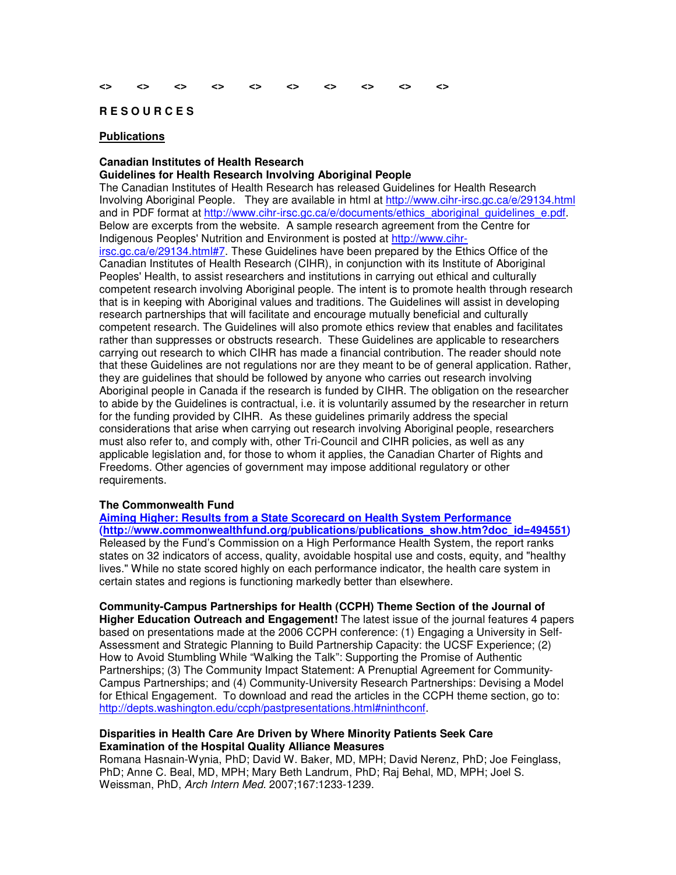#### **R E S O U R C E S**

#### **Publications**

#### **Canadian Institutes of Health Research**

#### **Guidelines for Health Research Involving Aboriginal People**

The Canadian Institutes of Health Research has released Guidelines for Health Research Involving Aboriginal People. They are available in html at http://www.cihr-irsc.gc.ca/e/29134.html and in PDF format at http://www.cihr-irsc.gc.ca/e/documents/ethics\_aboriginal\_guidelines\_e.pdf. Below are excerpts from the website. A sample research agreement from the Centre for Indigenous Peoples' Nutrition and Environment is posted at http://www.cihr-

irsc.gc.ca/e/29134.html#7. These Guidelines have been prepared by the Ethics Office of the Canadian Institutes of Health Research (CIHR), in conjunction with its Institute of Aboriginal Peoples' Health, to assist researchers and institutions in carrying out ethical and culturally competent research involving Aboriginal people. The intent is to promote health through research that is in keeping with Aboriginal values and traditions. The Guidelines will assist in developing research partnerships that will facilitate and encourage mutually beneficial and culturally competent research. The Guidelines will also promote ethics review that enables and facilitates rather than suppresses or obstructs research. These Guidelines are applicable to researchers carrying out research to which CIHR has made a financial contribution. The reader should note that these Guidelines are not regulations nor are they meant to be of general application. Rather, they are guidelines that should be followed by anyone who carries out research involving Aboriginal people in Canada if the research is funded by CIHR. The obligation on the researcher to abide by the Guidelines is contractual, i.e. it is voluntarily assumed by the researcher in return for the funding provided by CIHR. As these guidelines primarily address the special considerations that arise when carrying out research involving Aboriginal people, researchers must also refer to, and comply with, other Tri-Council and CIHR policies, as well as any applicable legislation and, for those to whom it applies, the Canadian Charter of Rights and Freedoms. Other agencies of government may impose additional regulatory or other requirements.

#### **The Commonwealth Fund**

**Aiming Higher: Results from a State Scorecard on Health System Performance (http://www.commonwealthfund.org/publications/publications\_show.htm?doc\_id=494551)** Released by the Fund's Commission on a High Performance Health System, the report ranks states on 32 indicators of access, quality, avoidable hospital use and costs, equity, and "healthy lives." While no state scored highly on each performance indicator, the health care system in certain states and regions is functioning markedly better than elsewhere.

**Community-Campus Partnerships for Health (CCPH) Theme Section of the Journal of Higher Education Outreach and Engagement!** The latest issue of the journal features 4 papers based on presentations made at the 2006 CCPH conference: (1) Engaging a University in Self-Assessment and Strategic Planning to Build Partnership Capacity: the UCSF Experience; (2) How to Avoid Stumbling While "Walking the Talk": Supporting the Promise of Authentic Partnerships; (3) The Community Impact Statement: A Prenuptial Agreement for Community-Campus Partnerships; and (4) Community-University Research Partnerships: Devising a Model for Ethical Engagement. To download and read the articles in the CCPH theme section, go to: http://depts.washington.edu/ccph/pastpresentations.html#ninthconf.

#### **Disparities in Health Care Are Driven by Where Minority Patients Seek Care Examination of the Hospital Quality Alliance Measures**

Romana Hasnain-Wynia, PhD; David W. Baker, MD, MPH; David Nerenz, PhD; Joe Feinglass, PhD; Anne C. Beal, MD, MPH; Mary Beth Landrum, PhD; Raj Behal, MD, MPH; Joel S. Weissman, PhD, *Arch Intern Med.* 2007;167:1233-1239.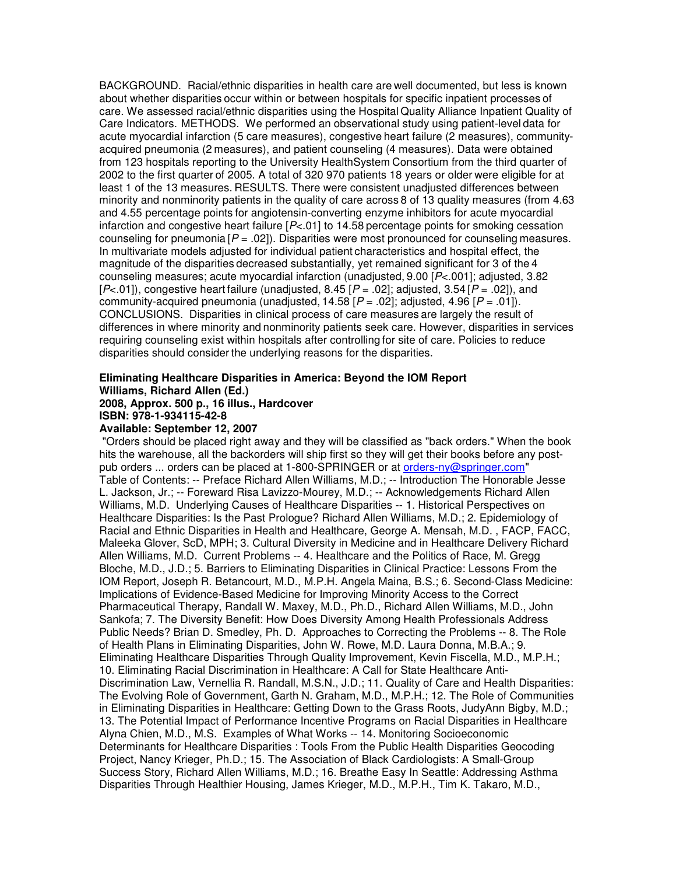BACKGROUND. Racial/ethnic disparities in health care are well documented, but less is known about whether disparities occur within or between hospitals for specific inpatient processes of care. We assessed racial/ethnic disparities using the Hospital Quality Alliance Inpatient Quality of Care Indicators. METHODS. We performed an observational study using patient-level data for acute myocardial infarction (5 care measures), congestive heart failure (2 measures), communityacquired pneumonia (2 measures), and patient counseling (4 measures). Data were obtained from 123 hospitals reporting to the University HealthSystem Consortium from the third quarter of 2002 to the first quarter of 2005. A total of 320 970 patients 18 years or older were eligible for at least 1 of the 13 measures. RESULTS. There were consistent unadjusted differences between minority and nonminority patients in the quality of care across 8 of 13 quality measures (from 4.63 and 4.55 percentage points for angiotensin-converting enzyme inhibitors for acute myocardial infarction and congestive heart failure [*P*<.01] to 14.58 percentage points for smoking cessation counseling for pneumonia  $[*P* = .02]$ ). Disparities were most pronounced for counseling measures. In multivariate models adjusted for individual patient characteristics and hospital effect, the magnitude of the disparities decreased substantially, yet remained significant for 3 of the 4 counseling measures; acute myocardial infarction (unadjusted, 9.00 [*P*<.001]; adjusted, 3.82  $[P<.01]$ , congestive heart failure (unadjusted, 8.45  $[P = .02]$ ; adjusted, 3.54  $[P = .02]$ ), and community-acquired pneumonia (unadjusted,  $14.58$   $[P = .02]$ ; adjusted,  $4.96$   $[P = .01]$ ). CONCLUSIONS. Disparities in clinical process of care measures are largely the result of differences in where minority and nonminority patients seek care. However, disparities in services requiring counseling exist within hospitals after controlling for site of care. Policies to reduce disparities should consider the underlying reasons for the disparities.

# **Eliminating Healthcare Disparities in America: Beyond the IOM Report Williams, Richard Allen (Ed.)**

## **2008, Approx. 500 p., 16 illus., Hardcover ISBN: 978-1-934115-42-8**

#### **Available: September 12, 2007**

"Orders should be placed right away and they will be classified as "back orders." When the book hits the warehouse, all the backorders will ship first so they will get their books before any postpub orders ... orders can be placed at 1-800-SPRINGER or at orders-ny@springer.com" Table of Contents: -- Preface Richard Allen Williams, M.D.; -- Introduction The Honorable Jesse L. Jackson, Jr.; -- Foreward Risa Lavizzo-Mourey, M.D.; -- Acknowledgements Richard Allen Williams, M.D. Underlying Causes of Healthcare Disparities -- 1. Historical Perspectives on Healthcare Disparities: Is the Past Prologue? Richard Allen Williams, M.D.; 2. Epidemiology of Racial and Ethnic Disparities in Health and Healthcare, George A. Mensah, M.D. , FACP, FACC, Maleeka Glover, ScD, MPH; 3. Cultural Diversity in Medicine and in Healthcare Delivery Richard Allen Williams, M.D. Current Problems -- 4. Healthcare and the Politics of Race, M. Gregg Bloche, M.D., J.D.; 5. Barriers to Eliminating Disparities in Clinical Practice: Lessons From the IOM Report, Joseph R. Betancourt, M.D., M.P.H. Angela Maina, B.S.; 6. Second-Class Medicine: Implications of Evidence-Based Medicine for Improving Minority Access to the Correct Pharmaceutical Therapy, Randall W. Maxey, M.D., Ph.D., Richard Allen Williams, M.D., John Sankofa; 7. The Diversity Benefit: How Does Diversity Among Health Professionals Address Public Needs? Brian D. Smedley, Ph. D. Approaches to Correcting the Problems -- 8. The Role of Health Plans in Eliminating Disparities, John W. Rowe, M.D. Laura Donna, M.B.A.; 9. Eliminating Healthcare Disparities Through Quality Improvement, Kevin Fiscella, M.D., M.P.H.; 10. Eliminating Racial Discrimination in Healthcare: A Call for State Healthcare Anti-Discrimination Law, Vernellia R. Randall, M.S.N., J.D.; 11. Quality of Care and Health Disparities: The Evolving Role of Government, Garth N. Graham, M.D., M.P.H.; 12. The Role of Communities in Eliminating Disparities in Healthcare: Getting Down to the Grass Roots, JudyAnn Bigby, M.D.; 13. The Potential Impact of Performance Incentive Programs on Racial Disparities in Healthcare Alyna Chien, M.D., M.S. Examples of What Works -- 14. Monitoring Socioeconomic Determinants for Healthcare Disparities : Tools From the Public Health Disparities Geocoding Project, Nancy Krieger, Ph.D.; 15. The Association of Black Cardiologists: A Small-Group Success Story, Richard Allen Williams, M.D.; 16. Breathe Easy In Seattle: Addressing Asthma Disparities Through Healthier Housing, James Krieger, M.D., M.P.H., Tim K. Takaro, M.D.,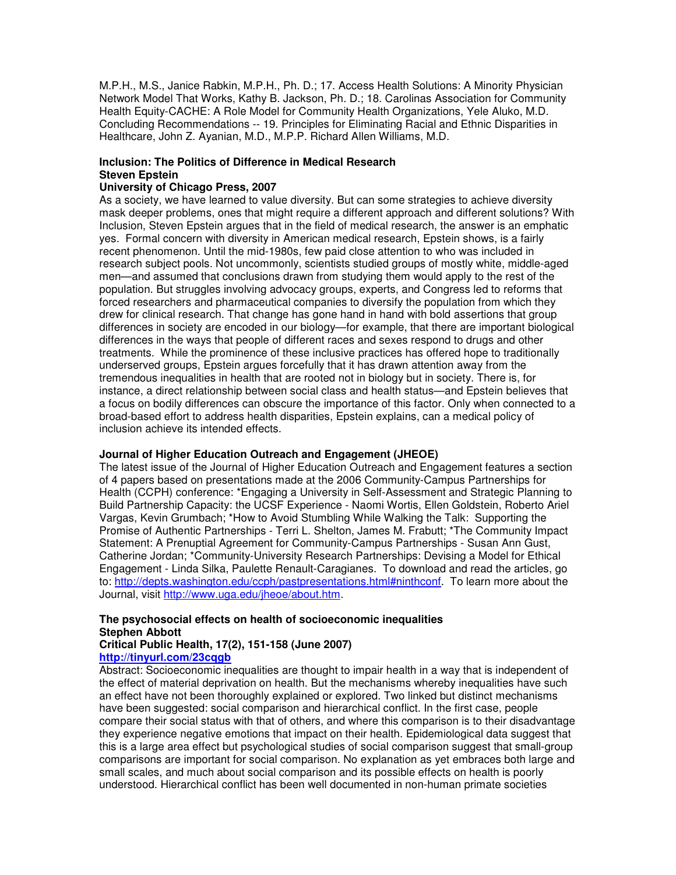M.P.H., M.S., Janice Rabkin, M.P.H., Ph. D.; 17. Access Health Solutions: A Minority Physician Network Model That Works, Kathy B. Jackson, Ph. D.; 18. Carolinas Association for Community Health Equity-CACHE: A Role Model for Community Health Organizations, Yele Aluko, M.D. Concluding Recommendations -- 19. Principles for Eliminating Racial and Ethnic Disparities in Healthcare, John Z. Ayanian, M.D., M.P.P. Richard Allen Williams, M.D.

# **Inclusion: The Politics of Difference in Medical Research Steven Epstein**

### **University of Chicago Press, 2007**

As a society, we have learned to value diversity. But can some strategies to achieve diversity mask deeper problems, ones that might require a different approach and different solutions? With Inclusion, Steven Epstein argues that in the field of medical research, the answer is an emphatic yes. Formal concern with diversity in American medical research, Epstein shows, is a fairly recent phenomenon. Until the mid-1980s, few paid close attention to who was included in research subject pools. Not uncommonly, scientists studied groups of mostly white, middle-aged men—and assumed that conclusions drawn from studying them would apply to the rest of the population. But struggles involving advocacy groups, experts, and Congress led to reforms that forced researchers and pharmaceutical companies to diversify the population from which they drew for clinical research. That change has gone hand in hand with bold assertions that group differences in society are encoded in our biology—for example, that there are important biological differences in the ways that people of different races and sexes respond to drugs and other treatments. While the prominence of these inclusive practices has offered hope to traditionally underserved groups, Epstein argues forcefully that it has drawn attention away from the tremendous inequalities in health that are rooted not in biology but in society. There is, for instance, a direct relationship between social class and health status—and Epstein believes that a focus on bodily differences can obscure the importance of this factor. Only when connected to a broad-based effort to address health disparities, Epstein explains, can a medical policy of inclusion achieve its intended effects.

### **Journal of Higher Education Outreach and Engagement (JHEOE)**

The latest issue of the Journal of Higher Education Outreach and Engagement features a section of 4 papers based on presentations made at the 2006 Community-Campus Partnerships for Health (CCPH) conference: \*Engaging a University in Self-Assessment and Strategic Planning to Build Partnership Capacity: the UCSF Experience - Naomi Wortis, Ellen Goldstein, Roberto Ariel Vargas, Kevin Grumbach; \*How to Avoid Stumbling While Walking the Talk: Supporting the Promise of Authentic Partnerships - Terri L. Shelton, James M. Frabutt; \*The Community Impact Statement: A Prenuptial Agreement for Community-Campus Partnerships - Susan Ann Gust, Catherine Jordan; \*Community-University Research Partnerships: Devising a Model for Ethical Engagement - Linda Silka, Paulette Renault-Caragianes. To download and read the articles, go to: http://depts.washington.edu/ccph/pastpresentations.html#ninthconf. To learn more about the Journal, visit http://www.uga.edu/jheoe/about.htm.

# **The psychosocial effects on health of socioeconomic inequalities Stephen Abbott**

#### **Critical Public Health, 17(2), 151-158 (June 2007) http://tinyurl.com/23cqgb**

Abstract: Socioeconomic inequalities are thought to impair health in a way that is independent of the effect of material deprivation on health. But the mechanisms whereby inequalities have such an effect have not been thoroughly explained or explored. Two linked but distinct mechanisms have been suggested: social comparison and hierarchical conflict. In the first case, people compare their social status with that of others, and where this comparison is to their disadvantage they experience negative emotions that impact on their health. Epidemiological data suggest that this is a large area effect but psychological studies of social comparison suggest that small-group comparisons are important for social comparison. No explanation as yet embraces both large and small scales, and much about social comparison and its possible effects on health is poorly understood. Hierarchical conflict has been well documented in non-human primate societies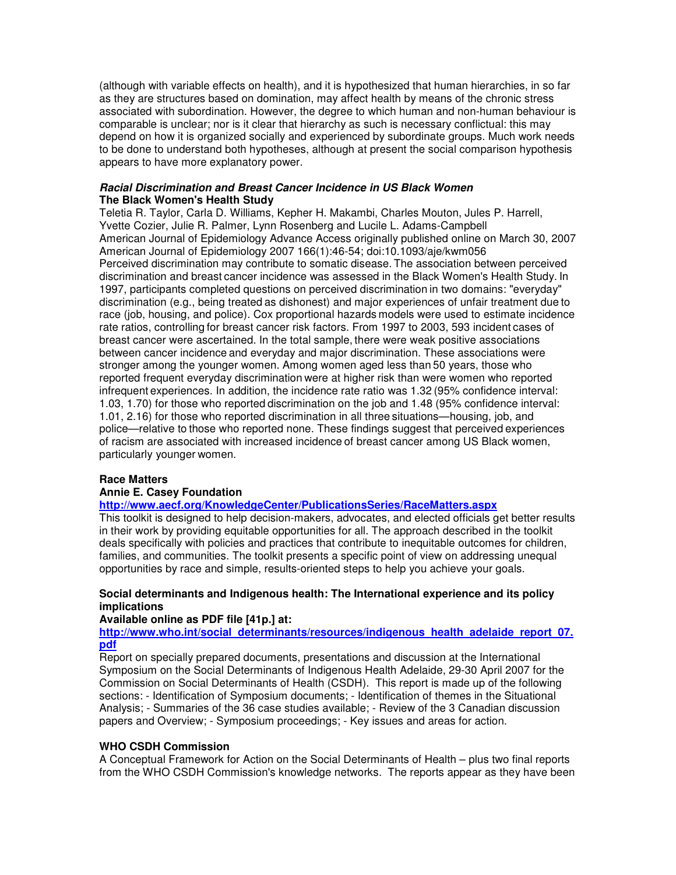(although with variable effects on health), and it is hypothesized that human hierarchies, in so far as they are structures based on domination, may affect health by means of the chronic stress associated with subordination. However, the degree to which human and non-human behaviour is comparable is unclear; nor is it clear that hierarchy as such is necessary conflictual: this may depend on how it is organized socially and experienced by subordinate groups. Much work needs to be done to understand both hypotheses, although at present the social comparison hypothesis appears to have more explanatory power.

#### *Racial Discrimination and Breast Cancer Incidence in US Black Women* **The Black Women's Health Study**

Teletia R. Taylor, Carla D. Williams, Kepher H. Makambi, Charles Mouton, Jules P. Harrell, Yvette Cozier, Julie R. Palmer, Lynn Rosenberg and Lucile L. Adams-Campbell American Journal of Epidemiology Advance Access originally published online on March 30, 2007 American Journal of Epidemiology 2007 166(1):46-54; doi:10.1093/aje/kwm056 Perceived discrimination may contribute to somatic disease. The association between perceived discrimination and breast cancer incidence was assessed in the Black Women's Health Study. In 1997, participants completed questions on perceived discrimination in two domains: "everyday" discrimination (e.g., being treated as dishonest) and major experiences of unfair treatment due to race (job, housing, and police). Cox proportional hazards models were used to estimate incidence rate ratios, controlling for breast cancer risk factors. From 1997 to 2003, 593 incident cases of breast cancer were ascertained. In the total sample, there were weak positive associations between cancer incidence and everyday and major discrimination. These associations were stronger among the younger women. Among women aged less than 50 years, those who reported frequent everyday discrimination were at higher risk than were women who reported infrequent experiences. In addition, the incidence rate ratio was 1.32 (95% confidence interval: 1.03, 1.70) for those who reported discrimination on the job and 1.48 (95% confidence interval: 1.01, 2.16) for those who reported discrimination in all three situations—housing, job, and police—relative to those who reported none. These findings suggest that perceived experiences of racism are associated with increased incidence of breast cancer among US Black women, particularly younger women.

### **Race Matters**

### **Annie E. Casey Foundation**

## **http://www.aecf.org/KnowledgeCenter/PublicationsSeries/RaceMatters.aspx**

This toolkit is designed to help decision-makers, advocates, and elected officials get better results in their work by providing equitable opportunities for all. The approach described in the toolkit deals specifically with policies and practices that contribute to inequitable outcomes for children, families, and communities. The toolkit presents a specific point of view on addressing unequal opportunities by race and simple, results-oriented steps to help you achieve your goals.

## **Social determinants and Indigenous health: The International experience and its policy implications**

# **Available online as PDF file [41p.] at:**

**http://www.who.int/social\_determinants/resources/indigenous\_health\_adelaide\_report\_07. pdf**

Report on specially prepared documents, presentations and discussion at the International Symposium on the Social Determinants of Indigenous Health Adelaide, 29-30 April 2007 for the Commission on Social Determinants of Health (CSDH). This report is made up of the following sections: - Identification of Symposium documents; - Identification of themes in the Situational Analysis; - Summaries of the 36 case studies available; - Review of the 3 Canadian discussion papers and Overview; - Symposium proceedings; - Key issues and areas for action.

### **WHO CSDH Commission**

A Conceptual Framework for Action on the Social Determinants of Health – plus two final reports from the WHO CSDH Commission's knowledge networks. The reports appear as they have been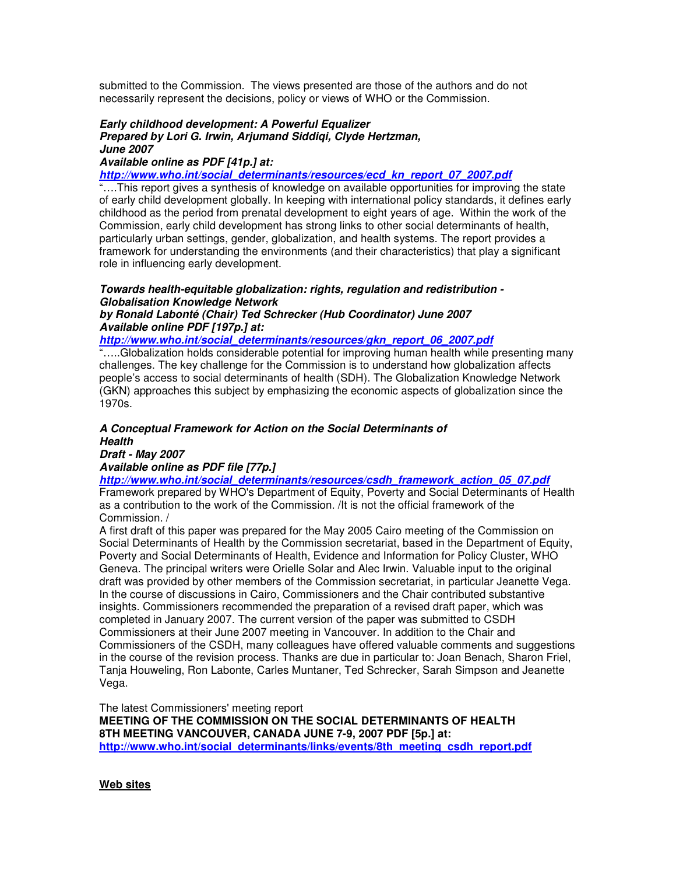submitted to the Commission. The views presented are those of the authors and do not necessarily represent the decisions, policy or views of WHO or the Commission.

#### *Early childhood development: A Powerful Equalizer Prepared by Lori G. Irwin, Arjumand Siddiqi, Clyde Hertzman, June 2007*

### *Available online as PDF [41p.] at:*

*http://www.who.int/social\_determinants/resources/ecd\_kn\_report\_07\_2007.pdf*

"….This report gives a synthesis of knowledge on available opportunities for improving the state of early child development globally. In keeping with international policy standards, it defines early childhood as the period from prenatal development to eight years of age. Within the work of the Commission, early child development has strong links to other social determinants of health, particularly urban settings, gender, globalization, and health systems. The report provides a framework for understanding the environments (and their characteristics) that play a significant role in influencing early development.

## *Towards health-equitable globalization: rights, regulation and redistribution - Globalisation Knowledge Network*

*by Ronald Labonté (Chair) Ted Schrecker (Hub Coordinator) June 2007 Available online PDF [197p.] at:*

*http://www.who.int/social\_determinants/resources/gkn\_report\_06\_2007.pdf*

"…..Globalization holds considerable potential for improving human health while presenting many challenges. The key challenge for the Commission is to understand how globalization affects people's access to social determinants of health (SDH). The Globalization Knowledge Network (GKN) approaches this subject by emphasizing the economic aspects of globalization since the 1970s.

# *A Conceptual Framework for Action on the Social Determinants of Health*

*Draft - May 2007 Available online as PDF file [77p.]*

*http://www.who.int/social\_determinants/resources/csdh\_framework\_action\_05\_07.pdf*

Framework prepared by WHO's Department of Equity, Poverty and Social Determinants of Health as a contribution to the work of the Commission. /It is not the official framework of the Commission. /

A first draft of this paper was prepared for the May 2005 Cairo meeting of the Commission on Social Determinants of Health by the Commission secretariat, based in the Department of Equity, Poverty and Social Determinants of Health, Evidence and Information for Policy Cluster, WHO Geneva. The principal writers were Orielle Solar and Alec Irwin. Valuable input to the original draft was provided by other members of the Commission secretariat, in particular Jeanette Vega. In the course of discussions in Cairo, Commissioners and the Chair contributed substantive insights. Commissioners recommended the preparation of a revised draft paper, which was completed in January 2007. The current version of the paper was submitted to CSDH Commissioners at their June 2007 meeting in Vancouver. In addition to the Chair and Commissioners of the CSDH, many colleagues have offered valuable comments and suggestions in the course of the revision process. Thanks are due in particular to: Joan Benach, Sharon Friel, Tanja Houweling, Ron Labonte, Carles Muntaner, Ted Schrecker, Sarah Simpson and Jeanette Vega.

The latest Commissioners'meeting report

**MEETING OF THE COMMISSION ON THE SOCIAL DETERMINANTS OF HEALTH 8TH MEETING VANCOUVER, CANADA JUNE 7-9, 2007 PDF [5p.] at: http://www.who.int/social\_determinants/links/events/8th\_meeting\_csdh\_report.pdf**

**Web sites**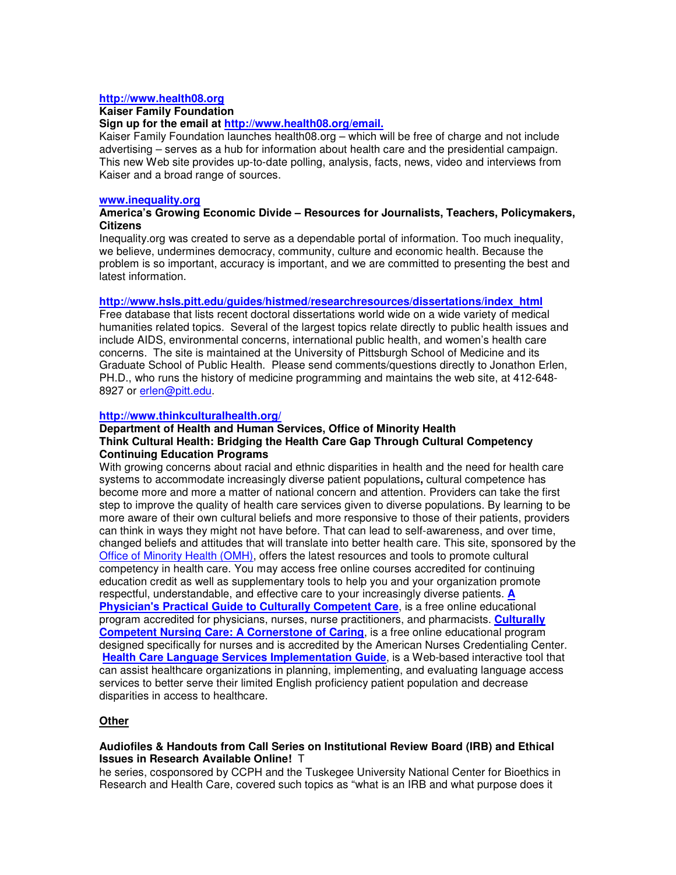#### **http://www.health08.org**

#### **Kaiser Family Foundation**

## **Sign up for the email at http://www.health08.org/email.**

Kaiser Family Foundation launches health08.org – which will be free of charge and not include advertising – serves as a hub for information about health care and the presidential campaign. This new Web site provides up-to-date polling, analysis, facts, news, video and interviews from Kaiser and a broad range of sources.

#### **www.inequality.org**

### **America's Growing Economic Divide – Resources for Journalists, Teachers, Policymakers, Citizens**

Inequality.org was created to serve as a dependable portal of information. Too much inequality, we believe, undermines democracy, community, culture and economic health. Because the problem is so important, accuracy is important, and we are committed to presenting the best and latest information.

## **http://www.hsls.pitt.edu/guides/histmed/researchresources/dissertations/index\_html**

Free database that lists recent doctoral dissertations world wide on a wide variety of medical humanities related topics. Several of the largest topics relate directly to public health issues and include AIDS, environmental concerns, international public health, and women's health care concerns. The site is maintained at the University of Pittsburgh School of Medicine and its Graduate School of Public Health. Please send comments/questions directly to Jonathon Erlen, PH.D., who runs the history of medicine programming and maintains the web site, at 412-648- 8927 or erlen@pitt.edu.

### **http://www.thinkculturalhealth.org/**

#### **Department of Health and Human Services, Office of Minority Health Think Cultural Health: Bridging the Health Care Gap Through Cultural Competency Continuing Education Programs**

With growing concerns about racial and ethnic disparities in health and the need for health care systems to accommodate increasingly diverse patient populations**,** cultural competence has become more and more a matter of national concern and attention. Providers can take the first step to improve the quality of health care services given to diverse populations. By learning to be more aware of their own cultural beliefs and more responsive to those of their patients, providers can think in ways they might not have before. That can lead to self-awareness, and over time, changed beliefs and attitudes that will translate into better health care. This site, sponsored by the Office of Minority Health (OMH), offers the latest resources and tools to promote cultural competency in health care. You may access free online courses accredited for continuing education credit as well as supplementary tools to help you and your organization promote respectful, understandable, and effective care to your increasingly diverse patients. **A Physician's Practical Guide to Culturally Competent Care**, is a free online educational program accredited for physicians, nurses, nurse practitioners, and pharmacists. **Culturally Competent Nursing Care: A Cornerstone of Caring**, is a free online educational program designed specifically for nurses and is accredited by the American Nurses Credentialing Center. **Health Care Language Services Implementation Guide**, is a Web-based interactive tool that can assist healthcare organizations in planning, implementing, and evaluating language access services to better serve their limited English proficiency patient population and decrease disparities in access to healthcare.

### **Other**

### **Audiofiles & Handouts from Call Series on Institutional Review Board (IRB) and Ethical Issues in Research Available Online!** T

he series, cosponsored by CCPH and the Tuskegee University National Center for Bioethics in Research and Health Care, covered such topics as "what is an IRB and what purpose does it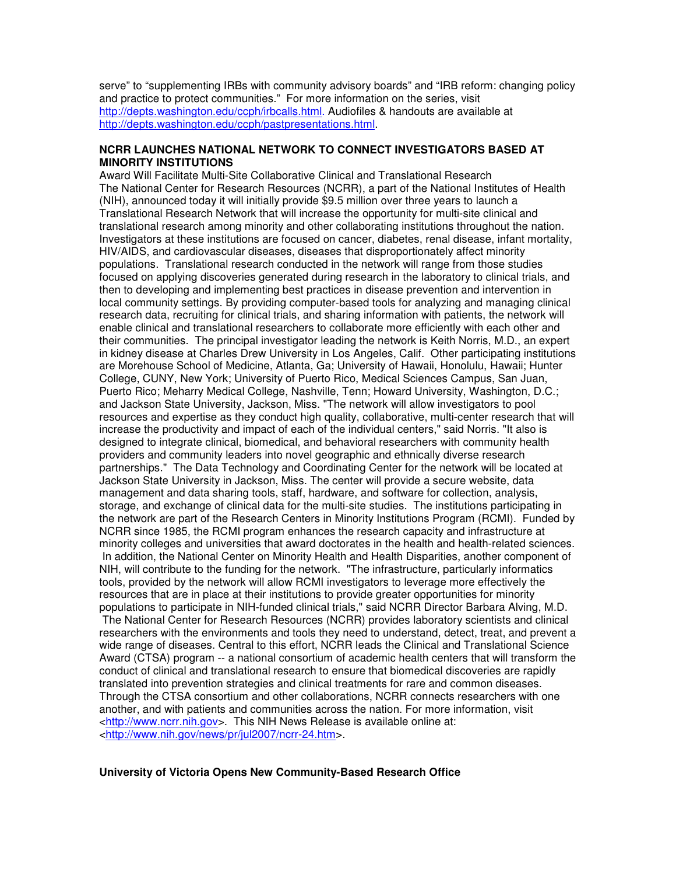serve" to "supplementing IRBs with community advisory boards" and "IRB reform: changing policy and practice to protect communities." For more information on the series, visit http://depts.washington.edu/ccph/irbcalls.html. Audiofiles & handouts are available at http://depts.washington.edu/ccph/pastpresentations.html.

## **NCRR LAUNCHES NATIONAL NETWORK TO CONNECT INVESTIGATORS BASED AT MINORITY INSTITUTIONS**

Award Will Facilitate Multi-Site Collaborative Clinical and Translational Research The National Center for Research Resources (NCRR), a part of the National Institutes of Health (NIH), announced today it will initially provide \$9.5 million over three years to launch a Translational Research Network that will increase the opportunity for multi-site clinical and translational research among minority and other collaborating institutions throughout the nation. Investigators at these institutions are focused on cancer, diabetes, renal disease, infant mortality, HIV/AIDS, and cardiovascular diseases, diseases that disproportionately affect minority populations. Translational research conducted in the network will range from those studies focused on applying discoveries generated during research in the laboratory to clinical trials, and then to developing and implementing best practices in disease prevention and intervention in local community settings. By providing computer-based tools for analyzing and managing clinical research data, recruiting for clinical trials, and sharing information with patients, the network will enable clinical and translational researchers to collaborate more efficiently with each other and their communities. The principal investigator leading the network is Keith Norris, M.D., an expert in kidney disease at Charles Drew University in Los Angeles, Calif. Other participating institutions are Morehouse School of Medicine, Atlanta, Ga; University of Hawaii, Honolulu, Hawaii; Hunter College, CUNY, New York; University of Puerto Rico, Medical Sciences Campus, San Juan, Puerto Rico; Meharry Medical College, Nashville, Tenn; Howard University, Washington, D.C.; and Jackson State University, Jackson, Miss. "The network will allow investigators to pool resources and expertise as they conduct high quality, collaborative, multi-center research that will increase the productivity and impact of each of the individual centers," said Norris. "It also is designed to integrate clinical, biomedical, and behavioral researchers with community health providers and community leaders into novel geographic and ethnically diverse research partnerships." The Data Technology and Coordinating Center for the network will be located at Jackson State University in Jackson, Miss. The center will provide a secure website, data management and data sharing tools, staff, hardware, and software for collection, analysis, storage, and exchange of clinical data for the multi-site studies. The institutions participating in the network are part of the Research Centers in Minority Institutions Program (RCMI). Funded by NCRR since 1985, the RCMI program enhances the research capacity and infrastructure at minority colleges and universities that award doctorates in the health and health-related sciences. In addition, the National Center on Minority Health and Health Disparities, another component of NIH, will contribute to the funding for the network. "The infrastructure, particularly informatics tools, provided by the network will allow RCMI investigators to leverage more effectively the resources that are in place at their institutions to provide greater opportunities for minority populations to participate in NIH-funded clinical trials," said NCRR Director Barbara Alving, M.D. The National Center for Research Resources (NCRR) provides laboratory scientists and clinical researchers with the environments and tools they need to understand, detect, treat, and prevent a wide range of diseases. Central to this effort, NCRR leads the Clinical and Translational Science Award (CTSA) program -- a national consortium of academic health centers that will transform the conduct of clinical and translational research to ensure that biomedical discoveries are rapidly translated into prevention strategies and clinical treatments for rare and common diseases. Through the CTSA consortium and other collaborations, NCRR connects researchers with one another, and with patients and communities across the nation. For more information, visit <http://www.ncrr.nih.gov>. This NIH News Release is available online at: <http://www.nih.gov/news/pr/jul2007/ncrr-24.htm>.

#### **University of Victoria Opens New Community-Based Research Office**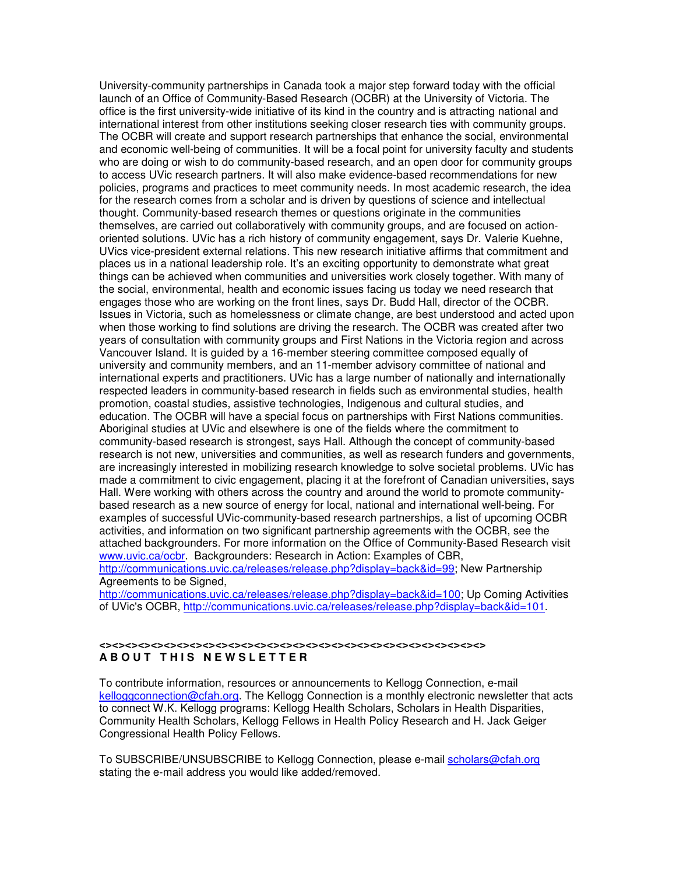University-community partnerships in Canada took a major step forward today with the official launch of an Office of Community-Based Research (OCBR) at the University of Victoria. The office is the first university-wide initiative of its kind in the country and is attracting national and international interest from other institutions seeking closer research ties with community groups. The OCBR will create and support research partnerships that enhance the social, environmental and economic well-being of communities. It will be a focal point for university faculty and students who are doing or wish to do community-based research, and an open door for community groups to access UVic research partners. It will also make evidence-based recommendations for new policies, programs and practices to meet community needs. In most academic research, the idea for the research comes from a scholar and is driven by questions of science and intellectual thought. Community-based research themes or questions originate in the communities themselves, are carried out collaboratively with community groups, and are focused on actionoriented solutions. UVic has a rich history of community engagement, says Dr. Valerie Kuehne, UVics vice-president external relations. This new research initiative affirms that commitment and places us in a national leadership role. It's an exciting opportunity to demonstrate what great things can be achieved when communities and universities work closely together. With many of the social, environmental, health and economic issues facing us today we need research that engages those who are working on the front lines, says Dr. Budd Hall, director of the OCBR. Issues in Victoria, such as homelessness or climate change, are best understood and acted upon when those working to find solutions are driving the research. The OCBR was created after two years of consultation with community groups and First Nations in the Victoria region and across Vancouver Island. It is guided by a 16-member steering committee composed equally of university and community members, and an 11-member advisory committee of national and international experts and practitioners. UVic has a large number of nationally and internationally respected leaders in community-based research in fields such as environmental studies, health promotion, coastal studies, assistive technologies, Indigenous and cultural studies, and education. The OCBR will have a special focus on partnerships with First Nations communities. Aboriginal studies at UVic and elsewhere is one of the fields where the commitment to community-based research is strongest, says Hall. Although the concept of community-based research is not new, universities and communities, as well as research funders and governments, are increasingly interested in mobilizing research knowledge to solve societal problems. UVic has made a commitment to civic engagement, placing it at the forefront of Canadian universities, says Hall. Were working with others across the country and around the world to promote communitybased research as a new source of energy for local, national and international well-being. For examples of successful UVic-community-based research partnerships, a list of upcoming OCBR activities, and information on two significant partnership agreements with the OCBR, see the attached backgrounders. For more information on the Office of Community-Based Research visit www.uvic.ca/ocbr. Backgrounders: Research in Action: Examples of CBR, http://communications.uvic.ca/releases/release.php?display=back&id=99; New Partnership

Agreements to be Signed, http://communications.uvic.ca/releases/release.php?display=back&id=100; Up Coming Activities of UVic's OCBR, http://communications.uvic.ca/releases/release.php?display=back&id=101.

#### **<><><><><><><><><><><><><><><><><><><><><><><><><><><><><><> A B O U T T H I S N E W S L E T T E R**

To contribute information, resources or announcements to Kellogg Connection, e-mail kelloggconnection@cfah.org. The Kellogg Connection is a monthly electronic newsletter that acts to connect W.K. Kellogg programs: Kellogg Health Scholars, Scholars in Health Disparities, Community Health Scholars, Kellogg Fellows in Health Policy Research and H. Jack Geiger Congressional Health Policy Fellows.

To SUBSCRIBE/UNSUBSCRIBE to Kellogg Connection, please e-mail scholars@cfah.org stating the e-mail address you would like added/removed.